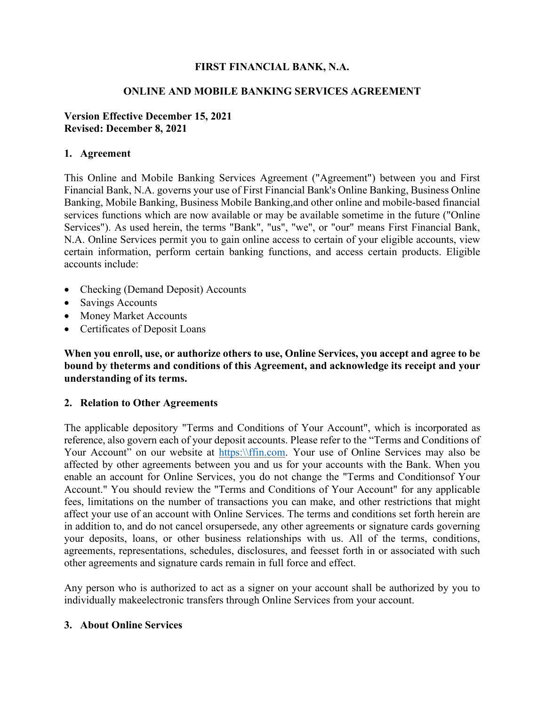## **FIRST FINANCIAL BANK, N.A.**

#### **ONLINE AND MOBILE BANKING SERVICES AGREEMENT**

#### **Version Effective December 15, 2021 Revised: December 8, 2021**

#### **1. Agreement**

This Online and Mobile Banking Services Agreement ("Agreement") between you and First Financial Bank, N.A. governs your use of First Financial Bank's Online Banking, Business Online Banking, Mobile Banking, Business Mobile Banking,and other online and mobile-based financial services functions which are now available or may be available sometime in the future ("Online Services"). As used herein, the terms "Bank", "us", "we", or "our" means First Financial Bank, N.A. Online Services permit you to gain online access to certain of your eligible accounts, view certain information, perform certain banking functions, and access certain products. Eligible accounts include:

- Checking (Demand Deposit) Accounts
- Savings Accounts
- Money Market Accounts
- Certificates of Deposit Loans

**When you enroll, use, or authorize others to use, Online Services, you accept and agree to be bound by theterms and conditions of this Agreement, and acknowledge its receipt and your understanding of its terms.**

#### **2. Relation to Other Agreements**

The applicable depository "Terms and Conditions of Your Account", which is incorporated as reference, also govern each of your deposit accounts. Please refer to the "Terms and Conditions of Your Account" on our website at [https:\\ffin.com.](https://ffin.com/) Your use of Online Services may also be affected by other agreements between you and us for your accounts with the Bank. When you enable an account for Online Services, you do not change the "Terms and Conditionsof Your Account." You should review the "Terms and Conditions of Your Account" for any applicable fees, limitations on the number of transactions you can make, and other restrictions that might affect your use of an account with Online Services. The terms and conditions set forth herein are in addition to, and do not cancel orsupersede, any other agreements or signature cards governing your deposits, loans, or other business relationships with us. All of the terms, conditions, agreements, representations, schedules, disclosures, and feesset forth in or associated with such other agreements and signature cards remain in full force and effect.

Any person who is authorized to act as a signer on your account shall be authorized by you to individually makeelectronic transfers through Online Services from your account.

#### **3. About Online Services**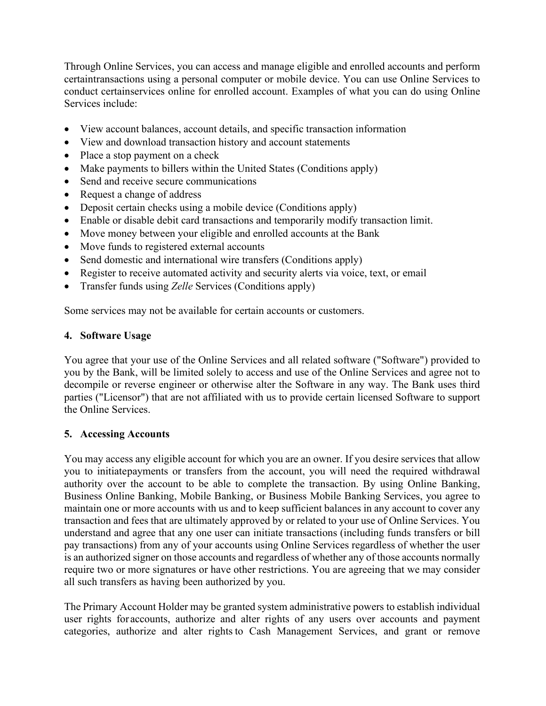Through Online Services, you can access and manage eligible and enrolled accounts and perform certaintransactions using a personal computer or mobile device. You can use Online Services to conduct certainservices online for enrolled account. Examples of what you can do using Online Services include:

- View account balances, account details, and specific transaction information
- View and download transaction history and account statements
- Place a stop payment on a check
- Make payments to billers within the United States (Conditions apply)
- Send and receive secure communications
- Request a change of address
- Deposit certain checks using a mobile device (Conditions apply)
- Enable or disable debit card transactions and temporarily modify transaction limit.
- Move money between your eligible and enrolled accounts at the Bank
- Move funds to registered external accounts
- Send domestic and international wire transfers (Conditions apply)
- Register to receive automated activity and security alerts via voice, text, or email
- Transfer funds using *Zelle* Services (Conditions apply)

Some services may not be available for certain accounts or customers.

## **4. Software Usage**

You agree that your use of the Online Services and all related software ("Software") provided to you by the Bank, will be limited solely to access and use of the Online Services and agree not to decompile or reverse engineer or otherwise alter the Software in any way. The Bank uses third parties ("Licensor") that are not affiliated with us to provide certain licensed Software to support the Online Services.

## **5. Accessing Accounts**

You may access any eligible account for which you are an owner. If you desire services that allow you to initiatepayments or transfers from the account, you will need the required withdrawal authority over the account to be able to complete the transaction. By using Online Banking, Business Online Banking, Mobile Banking, or Business Mobile Banking Services, you agree to maintain one or more accounts with us and to keep sufficient balances in any account to cover any transaction and fees that are ultimately approved by or related to your use of Online Services. You understand and agree that any one user can initiate transactions (including funds transfers or bill pay transactions) from any of your accounts using Online Services regardless of whether the user is an authorized signer on those accounts and regardless of whether any of those accounts normally require two or more signatures or have other restrictions. You are agreeing that we may consider all such transfers as having been authorized by you.

The Primary Account Holder may be granted system administrative powers to establish individual user rights for accounts, authorize and alter rights of any users over accounts and payment categories, authorize and alter rights to Cash Management Services, and grant or remove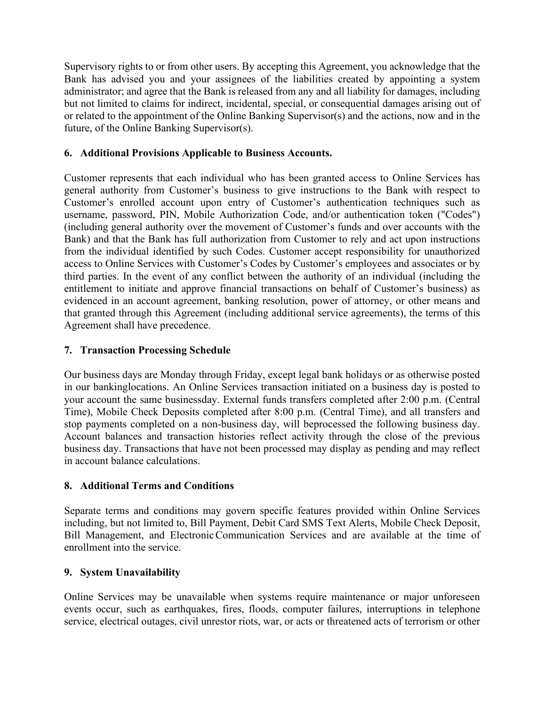Supervisory rights to or from other users. By accepting this Agreement, you acknowledge that the Bank has advised you and your assignees of the liabilities created by appointing a system administrator; and agree that the Bank is released from any and all liability for damages, including but not limited to claims for indirect, incidental, special, or consequential damages arising out of or related to the appointment of the Online Banking Supervisor(s) and the actions, now and in the future, of the Online Banking Supervisor(s).

## **6. Additional Provisions Applicable to Business Accounts.**

Customer represents that each individual who has been granted access to Online Services has general authority from Customer's business to give instructions to the Bank with respect to Customer's enrolled account upon entry of Customer's authentication techniques such as username, password, PIN, Mobile Authorization Code, and/or authentication token ("Codes") (including general authority over the movement of Customer's funds and over accounts with the Bank) and that the Bank has full authorization from Customer to rely and act upon instructions from the individual identified by such Codes. Customer accept responsibility for unauthorized access to Online Services with Customer's Codes by Customer's employees and associates or by third parties. In the event of any conflict between the authority of an individual (including the entitlement to initiate and approve financial transactions on behalf of Customer's business) as evidenced in an account agreement, banking resolution, power of attorney, or other means and that granted through this Agreement (including additional service agreements), the terms of this Agreement shall have precedence.

## **7. Transaction Processing Schedule**

Our business days are Monday through Friday, except legal bank holidays or as otherwise posted in our bankinglocations. An Online Services transaction initiated on a business day is posted to your account the same businessday. External funds transfers completed after 2:00 p.m. (Central Time), Mobile Check Deposits completed after 8:00 p.m. (Central Time), and all transfers and stop payments completed on a non-business day, will beprocessed the following business day. Account balances and transaction histories reflect activity through the close of the previous business day. Transactions that have not been processed may display as pending and may reflect in account balance calculations.

## **8. Additional Terms and Conditions**

Separate terms and conditions may govern specific features provided within Online Services including, but not limited to, Bill Payment, Debit Card SMS Text Alerts, Mobile Check Deposit, Bill Management, and ElectronicCommunication Services and are available at the time of enrollment into the service.

#### **9. System Unavailability**

Online Services may be unavailable when systems require maintenance or major unforeseen events occur, such as earthquakes, fires, floods, computer failures, interruptions in telephone service, electrical outages, civil unrestor riots, war, or acts or threatened acts of terrorism or other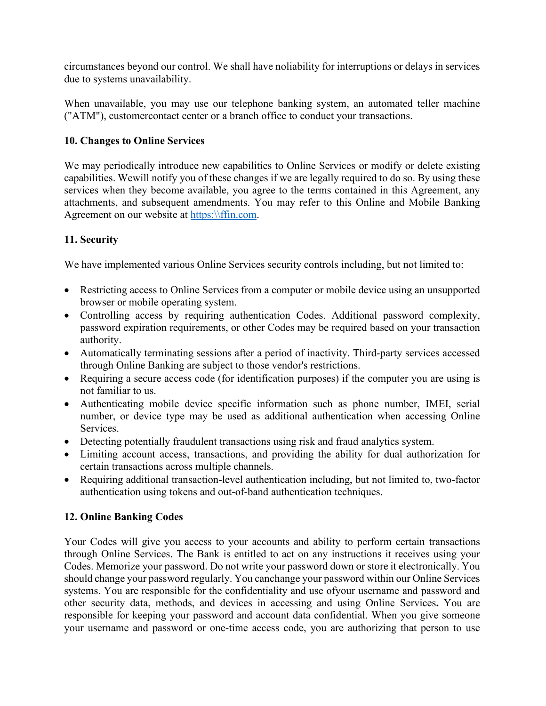circumstances beyond our control. We shall have noliability for interruptions or delays in services due to systems unavailability.

When unavailable, you may use our telephone banking system, an automated teller machine ("ATM"), customercontact center or a branch office to conduct your transactions.

## **10. Changes to Online Services**

We may periodically introduce new capabilities to Online Services or modify or delete existing capabilities. Wewill notify you of these changes if we are legally required to do so. By using these services when they become available, you agree to the terms contained in this Agreement, any attachments, and subsequent amendments. You may refer to this Online and Mobile Banking Agreement on our website at [https:\\ffin.com.](https://ffin.com/)

## **11. Security**

We have implemented various Online Services security controls including, but not limited to:

- Restricting access to Online Services from a computer or mobile device using an unsupported browser or mobile operating system.
- Controlling access by requiring authentication Codes. Additional password complexity, password expiration requirements, or other Codes may be required based on your transaction authority.
- Automatically terminating sessions after a period of inactivity. Third-party services accessed through Online Banking are subject to those vendor's restrictions.
- Requiring a secure access code (for identification purposes) if the computer you are using is not familiar to us.
- Authenticating mobile device specific information such as phone number, IMEI, serial number, or device type may be used as additional authentication when accessing Online Services.
- Detecting potentially fraudulent transactions using risk and fraud analytics system.
- Limiting account access, transactions, and providing the ability for dual authorization for certain transactions across multiple channels.
- Requiring additional transaction-level authentication including, but not limited to, two-factor authentication using tokens and out-of-band authentication techniques.

## **12. Online Banking Codes**

Your Codes will give you access to your accounts and ability to perform certain transactions through Online Services. The Bank is entitled to act on any instructions it receives using your Codes. Memorize your password. Do not write your password down or store it electronically. You should change your password regularly. You canchange your password within our Online Services systems. You are responsible for the confidentiality and use ofyour username and password and other security data, methods, and devices in accessing and using Online Services**.** You are responsible for keeping your password and account data confidential. When you give someone your username and password or one-time access code, you are authorizing that person to use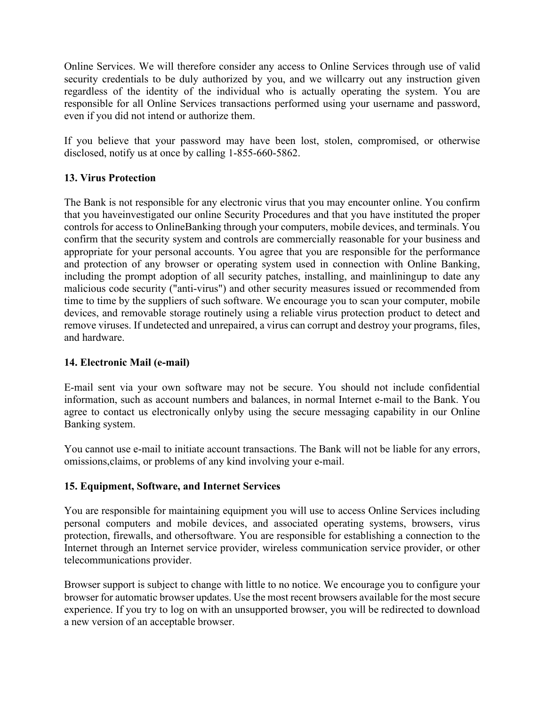Online Services. We will therefore consider any access to Online Services through use of valid security credentials to be duly authorized by you, and we willcarry out any instruction given regardless of the identity of the individual who is actually operating the system. You are responsible for all Online Services transactions performed using your username and password, even if you did not intend or authorize them.

If you believe that your password may have been lost, stolen, compromised, or otherwise disclosed, notify us at once by calling 1-855-660-5862.

## **13. Virus Protection**

The Bank is not responsible for any electronic virus that you may encounter online. You confirm that you haveinvestigated our online Security Procedures and that you have instituted the proper controls for access to OnlineBanking through your computers, mobile devices, and terminals. You confirm that the security system and controls are commercially reasonable for your business and appropriate for your personal accounts. You agree that you are responsible for the performance and protection of any browser or operating system used in connection with Online Banking, including the prompt adoption of all security patches, installing, and mainliningup to date any malicious code security ("anti-virus") and other security measures issued or recommended from time to time by the suppliers of such software. We encourage you to scan your computer, mobile devices, and removable storage routinely using a reliable virus protection product to detect and remove viruses. If undetected and unrepaired, a virus can corrupt and destroy your programs, files, and hardware.

## **14. Electronic Mail (e-mail)**

E-mail sent via your own software may not be secure. You should not include confidential information, such as account numbers and balances, in normal Internet e-mail to the Bank. You agree to contact us electronically onlyby using the secure messaging capability in our Online Banking system.

You cannot use e-mail to initiate account transactions. The Bank will not be liable for any errors, omissions,claims, or problems of any kind involving your e-mail.

## **15. Equipment, Software, and Internet Services**

You are responsible for maintaining equipment you will use to access Online Services including personal computers and mobile devices, and associated operating systems, browsers, virus protection, firewalls, and othersoftware. You are responsible for establishing a connection to the Internet through an Internet service provider, wireless communication service provider, or other telecommunications provider.

Browser support is subject to change with little to no notice. We encourage you to configure your browser for automatic browser updates. Use the most recent browsers available for the most secure experience. If you try to log on with an unsupported browser, you will be redirected to download a new version of an acceptable browser.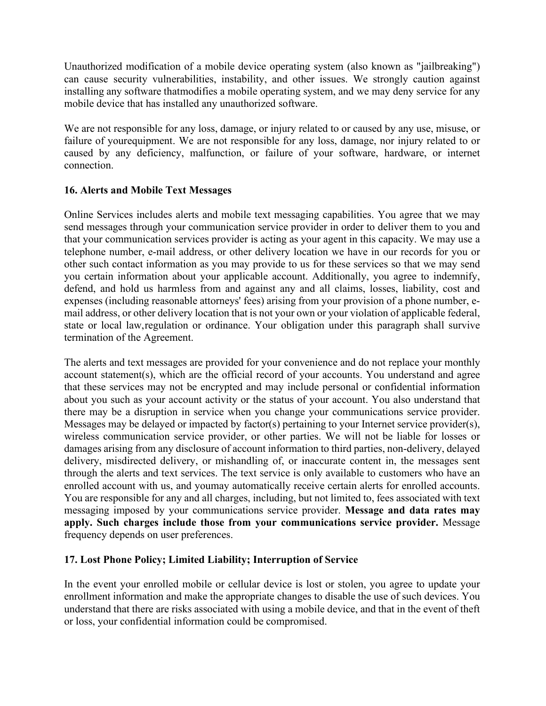Unauthorized modification of a mobile device operating system (also known as "jailbreaking") can cause security vulnerabilities, instability, and other issues. We strongly caution against installing any software thatmodifies a mobile operating system, and we may deny service for any mobile device that has installed any unauthorized software.

We are not responsible for any loss, damage, or injury related to or caused by any use, misuse, or failure of yourequipment. We are not responsible for any loss, damage, nor injury related to or caused by any deficiency, malfunction, or failure of your software, hardware, or internet connection.

## **16. Alerts and Mobile Text Messages**

Online Services includes alerts and mobile text messaging capabilities. You agree that we may send messages through your communication service provider in order to deliver them to you and that your communication services provider is acting as your agent in this capacity. We may use a telephone number, e-mail address, or other delivery location we have in our records for you or other such contact information as you may provide to us for these services so that we may send you certain information about your applicable account. Additionally, you agree to indemnify, defend, and hold us harmless from and against any and all claims, losses, liability, cost and expenses (including reasonable attorneys' fees) arising from your provision of a phone number, email address, or other delivery location that is not your own or your violation of applicable federal, state or local law,regulation or ordinance. Your obligation under this paragraph shall survive termination of the Agreement.

The alerts and text messages are provided for your convenience and do not replace your monthly account statement(s), which are the official record of your accounts. You understand and agree that these services may not be encrypted and may include personal or confidential information about you such as your account activity or the status of your account. You also understand that there may be a disruption in service when you change your communications service provider. Messages may be delayed or impacted by factor(s) pertaining to your Internet service provider(s), wireless communication service provider, or other parties. We will not be liable for losses or damages arising from any disclosure of account information to third parties, non-delivery, delayed delivery, misdirected delivery, or mishandling of, or inaccurate content in, the messages sent through the alerts and text services. The text service is only available to customers who have an enrolled account with us, and youmay automatically receive certain alerts for enrolled accounts. You are responsible for any and all charges, including, but not limited to, fees associated with text messaging imposed by your communications service provider. **Message and data rates may apply. Such charges include those from your communications service provider.** Message frequency depends on user preferences.

## **17. Lost Phone Policy; Limited Liability; Interruption of Service**

In the event your enrolled mobile or cellular device is lost or stolen, you agree to update your enrollment information and make the appropriate changes to disable the use of such devices. You understand that there are risks associated with using a mobile device, and that in the event of theft or loss, your confidential information could be compromised.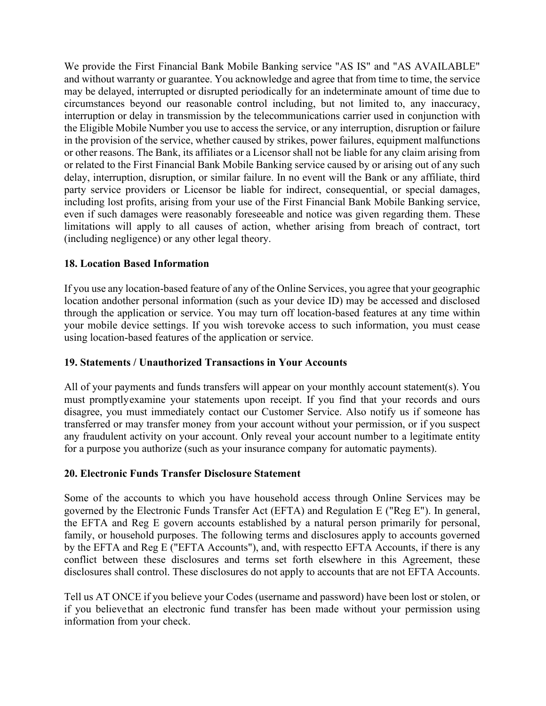We provide the First Financial Bank Mobile Banking service "AS IS" and "AS AVAILABLE" and without warranty or guarantee. You acknowledge and agree that from time to time, the service may be delayed, interrupted or disrupted periodically for an indeterminate amount of time due to circumstances beyond our reasonable control including, but not limited to, any inaccuracy, interruption or delay in transmission by the telecommunications carrier used in conjunction with the Eligible Mobile Number you use to access the service, or any interruption, disruption or failure in the provision of the service, whether caused by strikes, power failures, equipment malfunctions or other reasons. The Bank, its affiliates or a Licensor shall not be liable for any claim arising from or related to the First Financial Bank Mobile Banking service caused by or arising out of any such delay, interruption, disruption, or similar failure. In no event will the Bank or any affiliate, third party service providers or Licensor be liable for indirect, consequential, or special damages, including lost profits, arising from your use of the First Financial Bank Mobile Banking service, even if such damages were reasonably foreseeable and notice was given regarding them. These limitations will apply to all causes of action, whether arising from breach of contract, tort (including negligence) or any other legal theory.

## **18. Location Based Information**

If you use any location-based feature of any of the Online Services, you agree that your geographic location andother personal information (such as your device ID) may be accessed and disclosed through the application or service. You may turn off location-based features at any time within your mobile device settings. If you wish torevoke access to such information, you must cease using location-based features of the application or service.

#### **19. Statements / Unauthorized Transactions in Your Accounts**

All of your payments and funds transfers will appear on your monthly account statement(s). You must promptlyexamine your statements upon receipt. If you find that your records and ours disagree, you must immediately contact our Customer Service. Also notify us if someone has transferred or may transfer money from your account without your permission, or if you suspect any fraudulent activity on your account. Only reveal your account number to a legitimate entity for a purpose you authorize (such as your insurance company for automatic payments).

#### **20. Electronic Funds Transfer Disclosure Statement**

Some of the accounts to which you have household access through Online Services may be governed by the Electronic Funds Transfer Act (EFTA) and Regulation E ("Reg E"). In general, the EFTA and Reg E govern accounts established by a natural person primarily for personal, family, or household purposes. The following terms and disclosures apply to accounts governed by the EFTA and Reg E ("EFTA Accounts"), and, with respectto EFTA Accounts, if there is any conflict between these disclosures and terms set forth elsewhere in this Agreement, these disclosures shall control. These disclosures do not apply to accounts that are not EFTA Accounts.

Tell us AT ONCE if you believe your Codes (username and password) have been lost or stolen, or if you believethat an electronic fund transfer has been made without your permission using information from your check.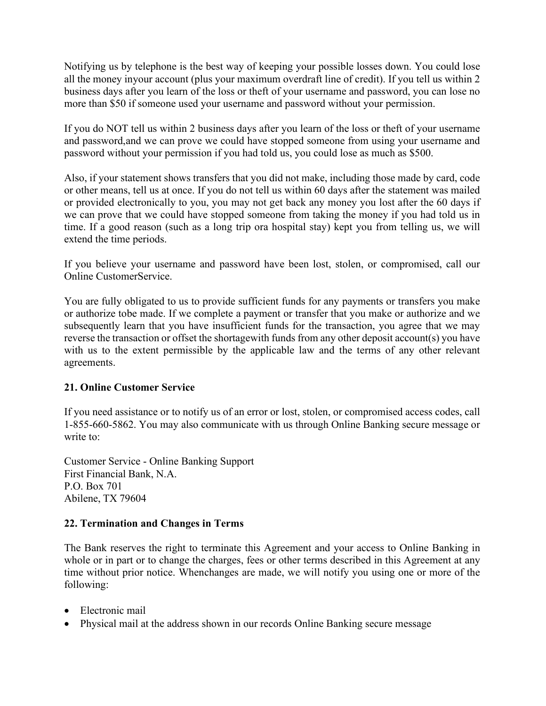Notifying us by telephone is the best way of keeping your possible losses down. You could lose all the money inyour account (plus your maximum overdraft line of credit). If you tell us within 2 business days after you learn of the loss or theft of your username and password, you can lose no more than \$50 if someone used your username and password without your permission.

If you do NOT tell us within 2 business days after you learn of the loss or theft of your username and password,and we can prove we could have stopped someone from using your username and password without your permission if you had told us, you could lose as much as \$500.

Also, if your statement shows transfers that you did not make, including those made by card, code or other means, tell us at once. If you do not tell us within 60 days after the statement was mailed or provided electronically to you, you may not get back any money you lost after the 60 days if we can prove that we could have stopped someone from taking the money if you had told us in time. If a good reason (such as a long trip ora hospital stay) kept you from telling us, we will extend the time periods.

If you believe your username and password have been lost, stolen, or compromised, call our Online CustomerService.

You are fully obligated to us to provide sufficient funds for any payments or transfers you make or authorize tobe made. If we complete a payment or transfer that you make or authorize and we subsequently learn that you have insufficient funds for the transaction, you agree that we may reverse the transaction or offset the shortagewith funds from any other deposit account(s) you have with us to the extent permissible by the applicable law and the terms of any other relevant agreements.

## **21. Online Customer Service**

If you need assistance or to notify us of an error or lost, stolen, or compromised access codes, call 1-855-660-5862. You may also communicate with us through Online Banking secure message or write to:

Customer Service - Online Banking Support First Financial Bank, N.A. P.O. Box 701 Abilene, TX 79604

## **22. Termination and Changes in Terms**

The Bank reserves the right to terminate this Agreement and your access to Online Banking in whole or in part or to change the charges, fees or other terms described in this Agreement at any time without prior notice. Whenchanges are made, we will notify you using one or more of the following:

- Electronic mail
- Physical mail at the address shown in our records Online Banking secure message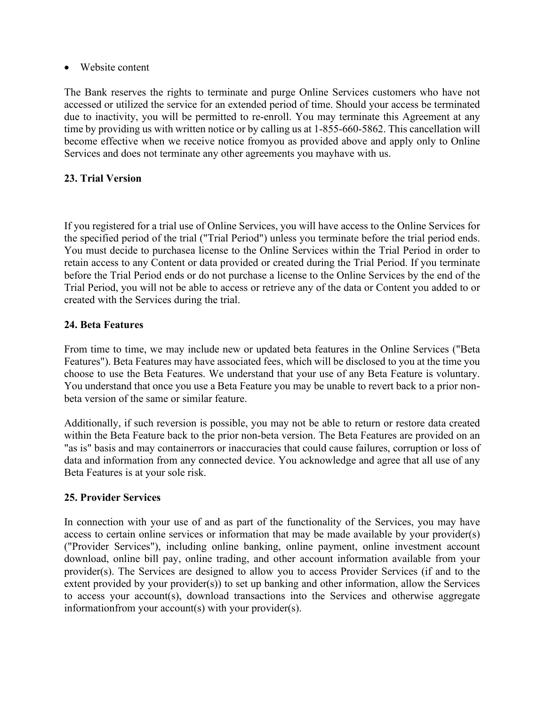• Website content

The Bank reserves the rights to terminate and purge Online Services customers who have not accessed or utilized the service for an extended period of time. Should your access be terminated due to inactivity, you will be permitted to re-enroll. You may terminate this Agreement at any time by providing us with written notice or by calling us at 1-855-660-5862. This cancellation will become effective when we receive notice fromyou as provided above and apply only to Online Services and does not terminate any other agreements you mayhave with us.

## **23. Trial Version**

If you registered for a trial use of Online Services, you will have access to the Online Services for the specified period of the trial ("Trial Period") unless you terminate before the trial period ends. You must decide to purchasea license to the Online Services within the Trial Period in order to retain access to any Content or data provided or created during the Trial Period. If you terminate before the Trial Period ends or do not purchase a license to the Online Services by the end of the Trial Period, you will not be able to access or retrieve any of the data or Content you added to or created with the Services during the trial.

## **24. Beta Features**

From time to time, we may include new or updated beta features in the Online Services ("Beta Features"). Beta Features may have associated fees, which will be disclosed to you at the time you choose to use the Beta Features. We understand that your use of any Beta Feature is voluntary. You understand that once you use a Beta Feature you may be unable to revert back to a prior nonbeta version of the same or similar feature.

Additionally, if such reversion is possible, you may not be able to return or restore data created within the Beta Feature back to the prior non-beta version. The Beta Features are provided on an "as is" basis and may containerrors or inaccuracies that could cause failures, corruption or loss of data and information from any connected device. You acknowledge and agree that all use of any Beta Features is at your sole risk.

## **25. Provider Services**

In connection with your use of and as part of the functionality of the Services, you may have access to certain online services or information that may be made available by your provider(s) ("Provider Services"), including online banking, online payment, online investment account download, online bill pay, online trading, and other account information available from your provider(s). The Services are designed to allow you to access Provider Services (if and to the extent provided by your provider(s)) to set up banking and other information, allow the Services to access your account(s), download transactions into the Services and otherwise aggregate informationfrom your account(s) with your provider(s).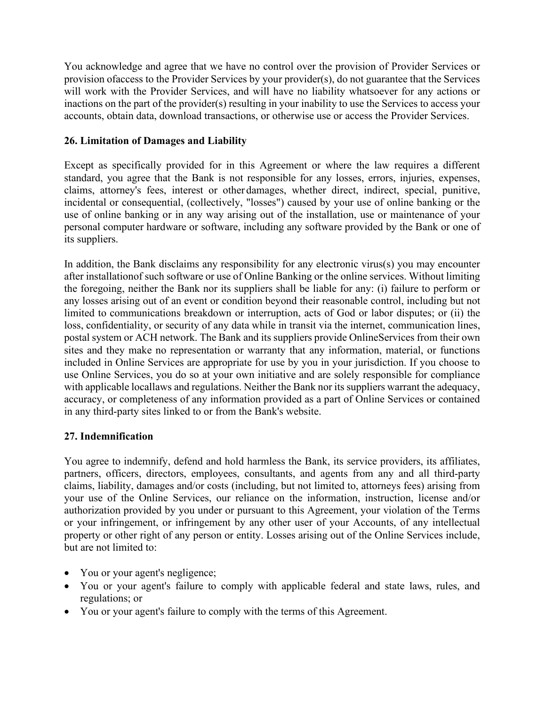You acknowledge and agree that we have no control over the provision of Provider Services or provision ofaccess to the Provider Services by your provider(s), do not guarantee that the Services will work with the Provider Services, and will have no liability whatsoever for any actions or inactions on the part of the provider(s) resulting in your inability to use the Services to access your accounts, obtain data, download transactions, or otherwise use or access the Provider Services.

## **26. Limitation of Damages and Liability**

Except as specifically provided for in this Agreement or where the law requires a different standard, you agree that the Bank is not responsible for any losses, errors, injuries, expenses, claims, attorney's fees, interest or other damages, whether direct, indirect, special, punitive, incidental or consequential, (collectively, "losses") caused by your use of online banking or the use of online banking or in any way arising out of the installation, use or maintenance of your personal computer hardware or software, including any software provided by the Bank or one of its suppliers.

In addition, the Bank disclaims any responsibility for any electronic virus(s) you may encounter after installationof such software or use of Online Banking or the online services. Without limiting the foregoing, neither the Bank nor its suppliers shall be liable for any: (i) failure to perform or any losses arising out of an event or condition beyond their reasonable control, including but not limited to communications breakdown or interruption, acts of God or labor disputes; or (ii) the loss, confidentiality, or security of any data while in transit via the internet, communication lines, postal system or ACH network. The Bank and its suppliers provide OnlineServices from their own sites and they make no representation or warranty that any information, material, or functions included in Online Services are appropriate for use by you in your jurisdiction. If you choose to use Online Services, you do so at your own initiative and are solely responsible for compliance with applicable locallaws and regulations. Neither the Bank nor its suppliers warrant the adequacy, accuracy, or completeness of any information provided as a part of Online Services or contained in any third-party sites linked to or from the Bank's website.

## **27. Indemnification**

You agree to indemnify, defend and hold harmless the Bank, its service providers, its affiliates, partners, officers, directors, employees, consultants, and agents from any and all third-party claims, liability, damages and/or costs (including, but not limited to, attorneys fees) arising from your use of the Online Services, our reliance on the information, instruction, license and/or authorization provided by you under or pursuant to this Agreement, your violation of the Terms or your infringement, or infringement by any other user of your Accounts, of any intellectual property or other right of any person or entity. Losses arising out of the Online Services include, but are not limited to:

- You or your agent's negligence;
- You or your agent's failure to comply with applicable federal and state laws, rules, and regulations; or
- You or your agent's failure to comply with the terms of this Agreement.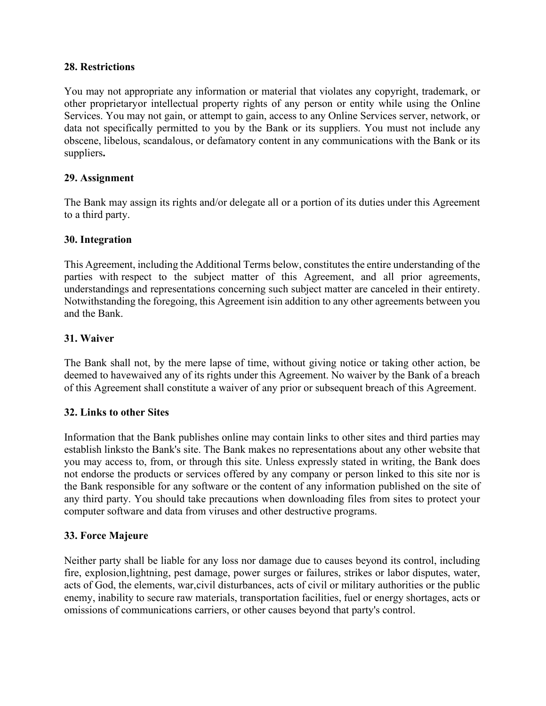## **28. Restrictions**

You may not appropriate any information or material that violates any copyright, trademark, or other proprietaryor intellectual property rights of any person or entity while using the Online Services. You may not gain, or attempt to gain, access to any Online Services server, network, or data not specifically permitted to you by the Bank or its suppliers. You must not include any obscene, libelous, scandalous, or defamatory content in any communications with the Bank or its suppliers**.**

## **29. Assignment**

The Bank may assign its rights and/or delegate all or a portion of its duties under this Agreement to a third party.

## **30. Integration**

This Agreement, including the Additional Terms below, constitutes the entire understanding of the parties with respect to the subject matter of this Agreement, and all prior agreements, understandings and representations concerning such subject matter are canceled in their entirety. Notwithstanding the foregoing, this Agreement isin addition to any other agreements between you and the Bank.

## **31. Waiver**

The Bank shall not, by the mere lapse of time, without giving notice or taking other action, be deemed to havewaived any of its rights under this Agreement. No waiver by the Bank of a breach of this Agreement shall constitute a waiver of any prior or subsequent breach of this Agreement.

## **32. Links to other Sites**

Information that the Bank publishes online may contain links to other sites and third parties may establish linksto the Bank's site. The Bank makes no representations about any other website that you may access to, from, or through this site. Unless expressly stated in writing, the Bank does not endorse the products or services offered by any company or person linked to this site nor is the Bank responsible for any software or the content of any information published on the site of any third party. You should take precautions when downloading files from sites to protect your computer software and data from viruses and other destructive programs.

#### **33. Force Majeure**

Neither party shall be liable for any loss nor damage due to causes beyond its control, including fire, explosion,lightning, pest damage, power surges or failures, strikes or labor disputes, water, acts of God, the elements, war,civil disturbances, acts of civil or military authorities or the public enemy, inability to secure raw materials, transportation facilities, fuel or energy shortages, acts or omissions of communications carriers, or other causes beyond that party's control.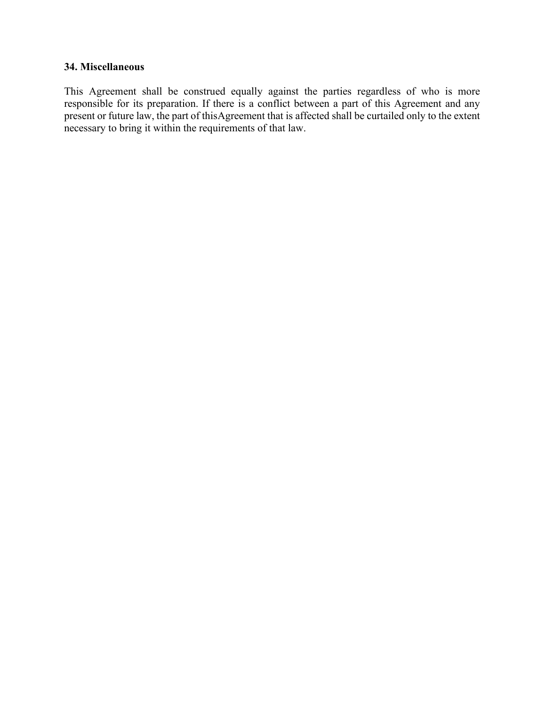#### **34. Miscellaneous**

This Agreement shall be construed equally against the parties regardless of who is more responsible for its preparation. If there is a conflict between a part of this Agreement and any present or future law, the part of thisAgreement that is affected shall be curtailed only to the extent necessary to bring it within the requirements of that law.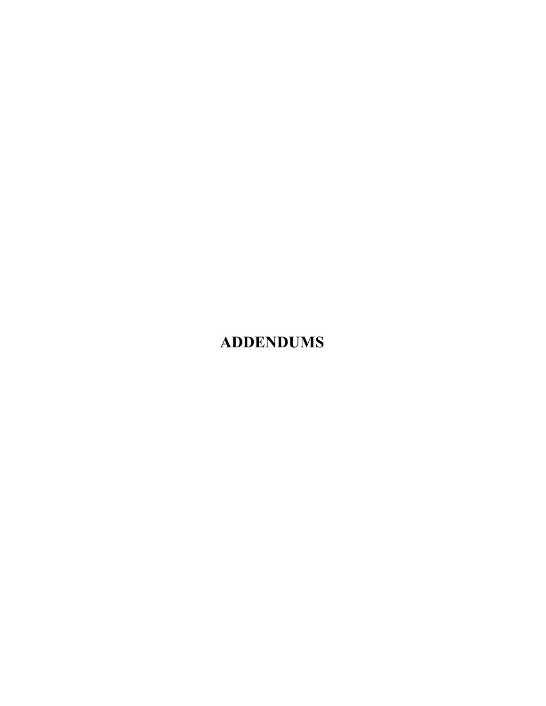# **ADDENDUMS**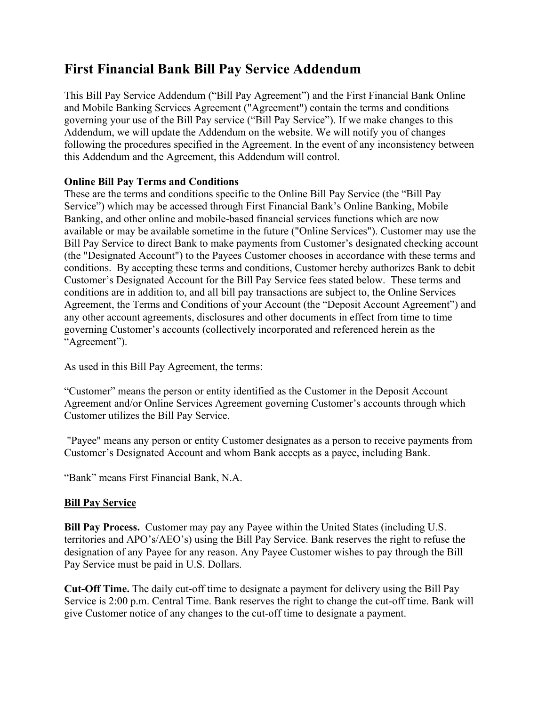## **First Financial Bank Bill Pay Service Addendum**

This Bill Pay Service Addendum ("Bill Pay Agreement") and the First Financial Bank Online and Mobile Banking Services Agreement ("Agreement") contain the terms and conditions governing your use of the Bill Pay service ("Bill Pay Service"). If we make changes to this Addendum, we will update the Addendum on the website. We will notify you of changes following the procedures specified in the Agreement. In the event of any inconsistency between this Addendum and the Agreement, this Addendum will control.

## **Online Bill Pay Terms and Conditions**

These are the terms and conditions specific to the Online Bill Pay Service (the "Bill Pay Service") which may be accessed through First Financial Bank's Online Banking, Mobile Banking, and other online and mobile-based financial services functions which are now available or may be available sometime in the future ("Online Services"). Customer may use the Bill Pay Service to direct Bank to make payments from Customer's designated checking account (the "Designated Account") to the Payees Customer chooses in accordance with these terms and conditions. By accepting these terms and conditions, Customer hereby authorizes Bank to debit Customer's Designated Account for the Bill Pay Service fees stated below. These terms and conditions are in addition to, and all bill pay transactions are subject to, the Online Services Agreement, the Terms and Conditions of your Account (the "Deposit Account Agreement") and any other account agreements, disclosures and other documents in effect from time to time governing Customer's accounts (collectively incorporated and referenced herein as the "Agreement").

As used in this Bill Pay Agreement, the terms:

"Customer" means the person or entity identified as the Customer in the Deposit Account Agreement and/or Online Services Agreement governing Customer's accounts through which Customer utilizes the Bill Pay Service.

"Payee" means any person or entity Customer designates as a person to receive payments from Customer's Designated Account and whom Bank accepts as a payee, including Bank.

"Bank" means First Financial Bank, N.A.

## **Bill Pay Service**

**Bill Pay Process.** Customer may pay any Payee within the United States (including U.S. territories and APO's/AEO's) using the Bill Pay Service. Bank reserves the right to refuse the designation of any Payee for any reason. Any Payee Customer wishes to pay through the Bill Pay Service must be paid in U.S. Dollars.

**Cut-Off Time.** The daily cut-off time to designate a payment for delivery using the Bill Pay Service is 2:00 p.m. Central Time. Bank reserves the right to change the cut-off time. Bank will give Customer notice of any changes to the cut-off time to designate a payment.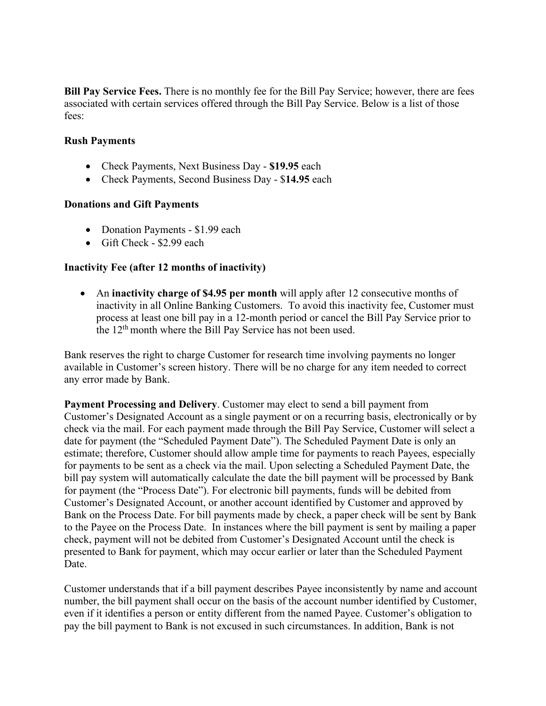**Bill Pay Service Fees.** There is no monthly fee for the Bill Pay Service; however, there are fees associated with certain services offered through the Bill Pay Service. Below is a list of those fees:

#### **Rush Payments**

- Check Payments, Next Business Day **\$19.95** each
- Check Payments, Second Business Day \$**14.95** each

## **Donations and Gift Payments**

- Donation Payments \$1.99 each
- Gift Check \$2.99 each

## **Inactivity Fee (after 12 months of inactivity)**

• An **inactivity charge of \$4.95 per month** will apply after 12 consecutive months of inactivity in all Online Banking Customers. To avoid this inactivity fee, Customer must process at least one bill pay in a 12-month period or cancel the Bill Pay Service prior to the 12<sup>th</sup> month where the Bill Pay Service has not been used.

Bank reserves the right to charge Customer for research time involving payments no longer available in Customer's screen history. There will be no charge for any item needed to correct any error made by Bank.

**Payment Processing and Delivery**. Customer may elect to send a bill payment from Customer's Designated Account as a single payment or on a recurring basis, electronically or by check via the mail. For each payment made through the Bill Pay Service, Customer will select a date for payment (the "Scheduled Payment Date"). The Scheduled Payment Date is only an estimate; therefore, Customer should allow ample time for payments to reach Payees, especially for payments to be sent as a check via the mail. Upon selecting a Scheduled Payment Date, the bill pay system will automatically calculate the date the bill payment will be processed by Bank for payment (the "Process Date"). For electronic bill payments, funds will be debited from Customer's Designated Account, or another account identified by Customer and approved by Bank on the Process Date. For bill payments made by check, a paper check will be sent by Bank to the Payee on the Process Date. In instances where the bill payment is sent by mailing a paper check, payment will not be debited from Customer's Designated Account until the check is presented to Bank for payment, which may occur earlier or later than the Scheduled Payment Date.

Customer understands that if a bill payment describes Payee inconsistently by name and account number, the bill payment shall occur on the basis of the account number identified by Customer, even if it identifies a person or entity different from the named Payee. Customer's obligation to pay the bill payment to Bank is not excused in such circumstances. In addition, Bank is not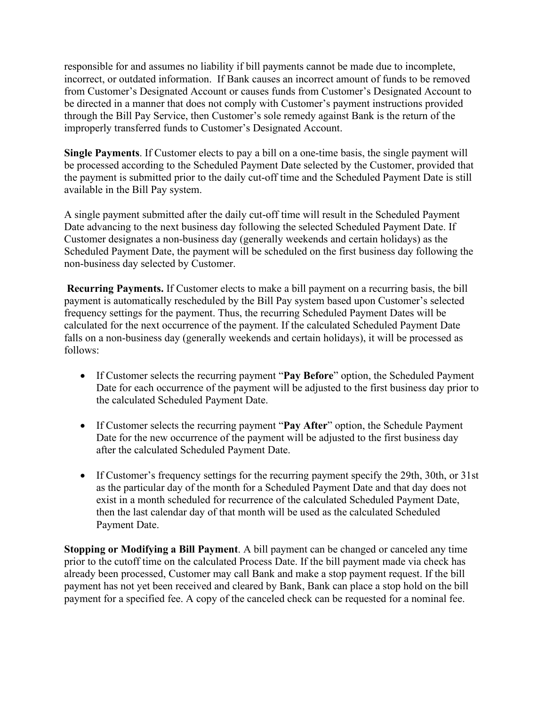responsible for and assumes no liability if bill payments cannot be made due to incomplete, incorrect, or outdated information. If Bank causes an incorrect amount of funds to be removed from Customer's Designated Account or causes funds from Customer's Designated Account to be directed in a manner that does not comply with Customer's payment instructions provided through the Bill Pay Service, then Customer's sole remedy against Bank is the return of the improperly transferred funds to Customer's Designated Account.

**Single Payments**. If Customer elects to pay a bill on a one-time basis, the single payment will be processed according to the Scheduled Payment Date selected by the Customer, provided that the payment is submitted prior to the daily cut-off time and the Scheduled Payment Date is still available in the Bill Pay system.

A single payment submitted after the daily cut-off time will result in the Scheduled Payment Date advancing to the next business day following the selected Scheduled Payment Date. If Customer designates a non-business day (generally weekends and certain holidays) as the Scheduled Payment Date, the payment will be scheduled on the first business day following the non-business day selected by Customer.

**Recurring Payments.** If Customer elects to make a bill payment on a recurring basis, the bill payment is automatically rescheduled by the Bill Pay system based upon Customer's selected frequency settings for the payment. Thus, the recurring Scheduled Payment Dates will be calculated for the next occurrence of the payment. If the calculated Scheduled Payment Date falls on a non-business day (generally weekends and certain holidays), it will be processed as follows:

- If Customer selects the recurring payment "**Pay Before**" option, the Scheduled Payment Date for each occurrence of the payment will be adjusted to the first business day prior to the calculated Scheduled Payment Date.
- If Customer selects the recurring payment "**Pay After**" option, the Schedule Payment Date for the new occurrence of the payment will be adjusted to the first business day after the calculated Scheduled Payment Date.
- If Customer's frequency settings for the recurring payment specify the 29th, 30th, or 31st as the particular day of the month for a Scheduled Payment Date and that day does not exist in a month scheduled for recurrence of the calculated Scheduled Payment Date, then the last calendar day of that month will be used as the calculated Scheduled Payment Date.

**Stopping or Modifying a Bill Payment**. A bill payment can be changed or canceled any time prior to the cutoff time on the calculated Process Date. If the bill payment made via check has already been processed, Customer may call Bank and make a stop payment request. If the bill payment has not yet been received and cleared by Bank, Bank can place a stop hold on the bill payment for a specified fee. A copy of the canceled check can be requested for a nominal fee.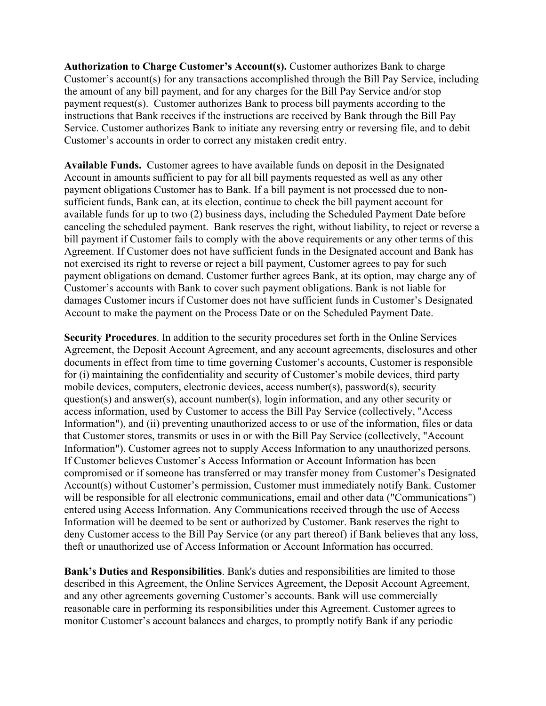**Authorization to Charge Customer's Account(s).** Customer authorizes Bank to charge Customer's account(s) for any transactions accomplished through the Bill Pay Service, including the amount of any bill payment, and for any charges for the Bill Pay Service and/or stop payment request(s). Customer authorizes Bank to process bill payments according to the instructions that Bank receives if the instructions are received by Bank through the Bill Pay Service. Customer authorizes Bank to initiate any reversing entry or reversing file, and to debit Customer's accounts in order to correct any mistaken credit entry.

**Available Funds.** Customer agrees to have available funds on deposit in the Designated Account in amounts sufficient to pay for all bill payments requested as well as any other payment obligations Customer has to Bank. If a bill payment is not processed due to nonsufficient funds, Bank can, at its election, continue to check the bill payment account for available funds for up to two (2) business days, including the Scheduled Payment Date before canceling the scheduled payment. Bank reserves the right, without liability, to reject or reverse a bill payment if Customer fails to comply with the above requirements or any other terms of this Agreement. If Customer does not have sufficient funds in the Designated account and Bank has not exercised its right to reverse or reject a bill payment, Customer agrees to pay for such payment obligations on demand. Customer further agrees Bank, at its option, may charge any of Customer's accounts with Bank to cover such payment obligations. Bank is not liable for damages Customer incurs if Customer does not have sufficient funds in Customer's Designated Account to make the payment on the Process Date or on the Scheduled Payment Date.

**Security Procedures**. In addition to the security procedures set forth in the Online Services Agreement, the Deposit Account Agreement, and any account agreements, disclosures and other documents in effect from time to time governing Customer's accounts, Customer is responsible for (i) maintaining the confidentiality and security of Customer's mobile devices, third party mobile devices, computers, electronic devices, access number(s), password(s), security question(s) and answer(s), account number(s), login information, and any other security or access information, used by Customer to access the Bill Pay Service (collectively, "Access Information"), and (ii) preventing unauthorized access to or use of the information, files or data that Customer stores, transmits or uses in or with the Bill Pay Service (collectively, "Account Information"). Customer agrees not to supply Access Information to any unauthorized persons. If Customer believes Customer's Access Information or Account Information has been compromised or if someone has transferred or may transfer money from Customer's Designated Account(s) without Customer's permission, Customer must immediately notify Bank. Customer will be responsible for all electronic communications, email and other data ("Communications") entered using Access Information. Any Communications received through the use of Access Information will be deemed to be sent or authorized by Customer. Bank reserves the right to deny Customer access to the Bill Pay Service (or any part thereof) if Bank believes that any loss, theft or unauthorized use of Access Information or Account Information has occurred.

**Bank's Duties and Responsibilities**. Bank's duties and responsibilities are limited to those described in this Agreement, the Online Services Agreement, the Deposit Account Agreement, and any other agreements governing Customer's accounts. Bank will use commercially reasonable care in performing its responsibilities under this Agreement. Customer agrees to monitor Customer's account balances and charges, to promptly notify Bank if any periodic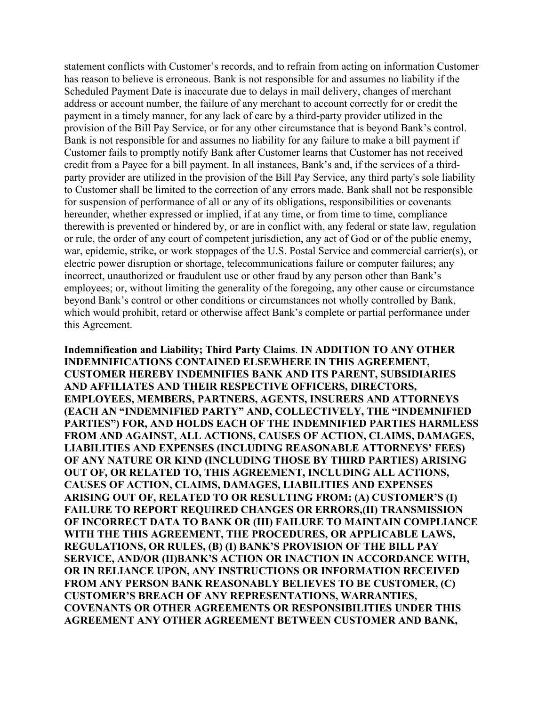statement conflicts with Customer's records, and to refrain from acting on information Customer has reason to believe is erroneous. Bank is not responsible for and assumes no liability if the Scheduled Payment Date is inaccurate due to delays in mail delivery, changes of merchant address or account number, the failure of any merchant to account correctly for or credit the payment in a timely manner, for any lack of care by a third-party provider utilized in the provision of the Bill Pay Service, or for any other circumstance that is beyond Bank's control. Bank is not responsible for and assumes no liability for any failure to make a bill payment if Customer fails to promptly notify Bank after Customer learns that Customer has not received credit from a Payee for a bill payment. In all instances, Bank's and, if the services of a thirdparty provider are utilized in the provision of the Bill Pay Service, any third party's sole liability to Customer shall be limited to the correction of any errors made. Bank shall not be responsible for suspension of performance of all or any of its obligations, responsibilities or covenants hereunder, whether expressed or implied, if at any time, or from time to time, compliance therewith is prevented or hindered by, or are in conflict with, any federal or state law, regulation or rule, the order of any court of competent jurisdiction, any act of God or of the public enemy, war, epidemic, strike, or work stoppages of the U.S. Postal Service and commercial carrier(s), or electric power disruption or shortage, telecommunications failure or computer failures; any incorrect, unauthorized or fraudulent use or other fraud by any person other than Bank's employees; or, without limiting the generality of the foregoing, any other cause or circumstance beyond Bank's control or other conditions or circumstances not wholly controlled by Bank, which would prohibit, retard or otherwise affect Bank's complete or partial performance under this Agreement.

**Indemnification and Liability; Third Party Claims**. **IN ADDITION TO ANY OTHER INDEMNIFICATIONS CONTAINED ELSEWHERE IN THIS AGREEMENT, CUSTOMER HEREBY INDEMNIFIES BANK AND ITS PARENT, SUBSIDIARIES AND AFFILIATES AND THEIR RESPECTIVE OFFICERS, DIRECTORS, EMPLOYEES, MEMBERS, PARTNERS, AGENTS, INSURERS AND ATTORNEYS (EACH AN "INDEMNIFIED PARTY" AND, COLLECTIVELY, THE "INDEMNIFIED PARTIES") FOR, AND HOLDS EACH OF THE INDEMNIFIED PARTIES HARMLESS FROM AND AGAINST, ALL ACTIONS, CAUSES OF ACTION, CLAIMS, DAMAGES, LIABILITIES AND EXPENSES (INCLUDING REASONABLE ATTORNEYS' FEES) OF ANY NATURE OR KIND (INCLUDING THOSE BY THIRD PARTIES) ARISING OUT OF, OR RELATED TO, THIS AGREEMENT, INCLUDING ALL ACTIONS, CAUSES OF ACTION, CLAIMS, DAMAGES, LIABILITIES AND EXPENSES ARISING OUT OF, RELATED TO OR RESULTING FROM: (A) CUSTOMER'S (I) FAILURE TO REPORT REQUIRED CHANGES OR ERRORS,(II) TRANSMISSION OF INCORRECT DATA TO BANK OR (III) FAILURE TO MAINTAIN COMPLIANCE WITH THE THIS AGREEMENT, THE PROCEDURES, OR APPLICABLE LAWS, REGULATIONS, OR RULES, (B) (I) BANK'S PROVISION OF THE BILL PAY SERVICE, AND/OR (II)BANK'S ACTION OR INACTION IN ACCORDANCE WITH, OR IN RELIANCE UPON, ANY INSTRUCTIONS OR INFORMATION RECEIVED FROM ANY PERSON BANK REASONABLY BELIEVES TO BE CUSTOMER, (C) CUSTOMER'S BREACH OF ANY REPRESENTATIONS, WARRANTIES, COVENANTS OR OTHER AGREEMENTS OR RESPONSIBILITIES UNDER THIS AGREEMENT ANY OTHER AGREEMENT BETWEEN CUSTOMER AND BANK,**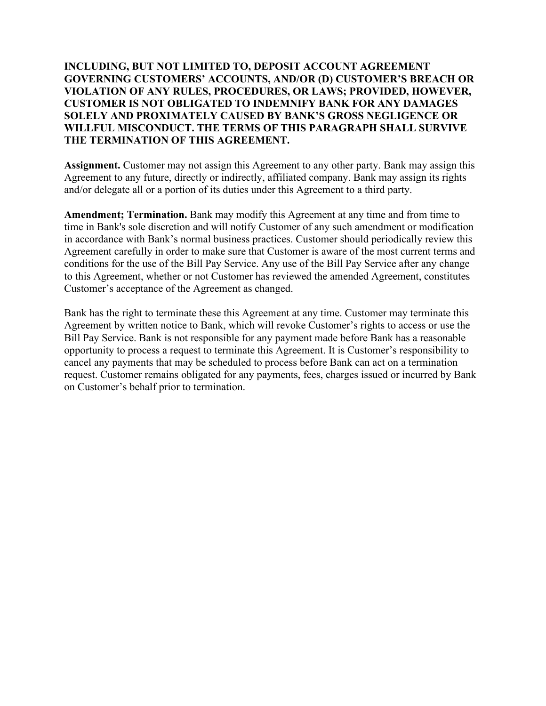**INCLUDING, BUT NOT LIMITED TO, DEPOSIT ACCOUNT AGREEMENT GOVERNING CUSTOMERS' ACCOUNTS, AND/OR (D) CUSTOMER'S BREACH OR VIOLATION OF ANY RULES, PROCEDURES, OR LAWS; PROVIDED, HOWEVER, CUSTOMER IS NOT OBLIGATED TO INDEMNIFY BANK FOR ANY DAMAGES SOLELY AND PROXIMATELY CAUSED BY BANK'S GROSS NEGLIGENCE OR WILLFUL MISCONDUCT. THE TERMS OF THIS PARAGRAPH SHALL SURVIVE THE TERMINATION OF THIS AGREEMENT.**

**Assignment.** Customer may not assign this Agreement to any other party. Bank may assign this Agreement to any future, directly or indirectly, affiliated company. Bank may assign its rights and/or delegate all or a portion of its duties under this Agreement to a third party.

**Amendment; Termination.** Bank may modify this Agreement at any time and from time to time in Bank's sole discretion and will notify Customer of any such amendment or modification in accordance with Bank's normal business practices. Customer should periodically review this Agreement carefully in order to make sure that Customer is aware of the most current terms and conditions for the use of the Bill Pay Service. Any use of the Bill Pay Service after any change to this Agreement, whether or not Customer has reviewed the amended Agreement, constitutes Customer's acceptance of the Agreement as changed.

Bank has the right to terminate these this Agreement at any time. Customer may terminate this Agreement by written notice to Bank, which will revoke Customer's rights to access or use the Bill Pay Service. Bank is not responsible for any payment made before Bank has a reasonable opportunity to process a request to terminate this Agreement. It is Customer's responsibility to cancel any payments that may be scheduled to process before Bank can act on a termination request. Customer remains obligated for any payments, fees, charges issued or incurred by Bank on Customer's behalf prior to termination.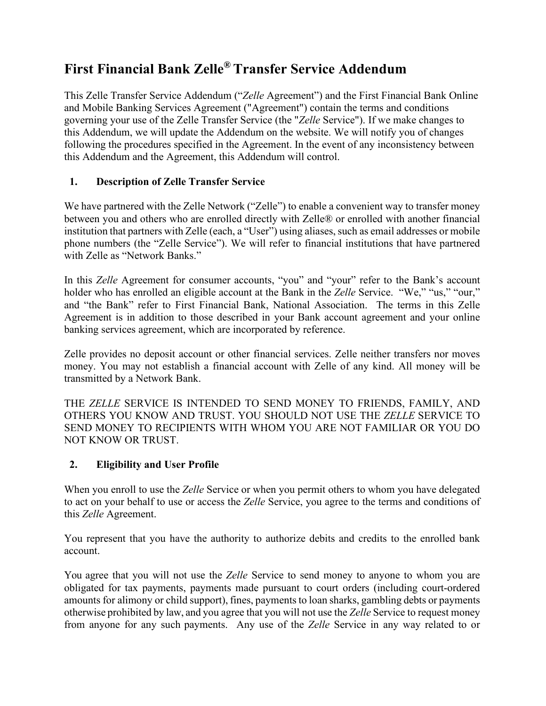## **First Financial Bank Zelle® Transfer Service Addendum**

This Zelle Transfer Service Addendum ("*Zelle* Agreement") and the First Financial Bank Online and Mobile Banking Services Agreement ("Agreement") contain the terms and conditions governing your use of the Zelle Transfer Service (the "*Zelle* Service"). If we make changes to this Addendum, we will update the Addendum on the website. We will notify you of changes following the procedures specified in the Agreement. In the event of any inconsistency between this Addendum and the Agreement, this Addendum will control.

## **1. Description of Zelle Transfer Service**

We have partnered with the Zelle Network ("Zelle") to enable a convenient way to transfer money between you and others who are enrolled directly with Zelle® or enrolled with another financial institution that partners with Zelle (each, a "User") using aliases, such as email addresses or mobile phone numbers (the "Zelle Service"). We will refer to financial institutions that have partnered with Zelle as "Network Banks."

In this *Zelle* Agreement for consumer accounts, "you" and "your" refer to the Bank's account holder who has enrolled an eligible account at the Bank in the *Zelle* Service. "We," "us," "our," and "the Bank" refer to First Financial Bank, National Association. The terms in this Zelle Agreement is in addition to those described in your Bank account agreement and your online banking services agreement, which are incorporated by reference.

Zelle provides no deposit account or other financial services. Zelle neither transfers nor moves money. You may not establish a financial account with Zelle of any kind. All money will be transmitted by a Network Bank.

THE *ZELLE* SERVICE IS INTENDED TO SEND MONEY TO FRIENDS, FAMILY, AND OTHERS YOU KNOW AND TRUST. YOU SHOULD NOT USE THE *ZELLE* SERVICE TO SEND MONEY TO RECIPIENTS WITH WHOM YOU ARE NOT FAMILIAR OR YOU DO NOT KNOW OR TRUST.

## **2. Eligibility and User Profile**

When you enroll to use the *Zelle* Service or when you permit others to whom you have delegated to act on your behalf to use or access the *Zelle* Service, you agree to the terms and conditions of this *Zelle* Agreement.

You represent that you have the authority to authorize debits and credits to the enrolled bank account.

You agree that you will not use the *Zelle* Service to send money to anyone to whom you are obligated for tax payments, payments made pursuant to court orders (including court-ordered amounts for alimony or child support), fines, payments to loan sharks, gambling debts or payments otherwise prohibited by law, and you agree that you will not use the *Zelle* Service to request money from anyone for any such payments. Any use of the *Zelle* Service in any way related to or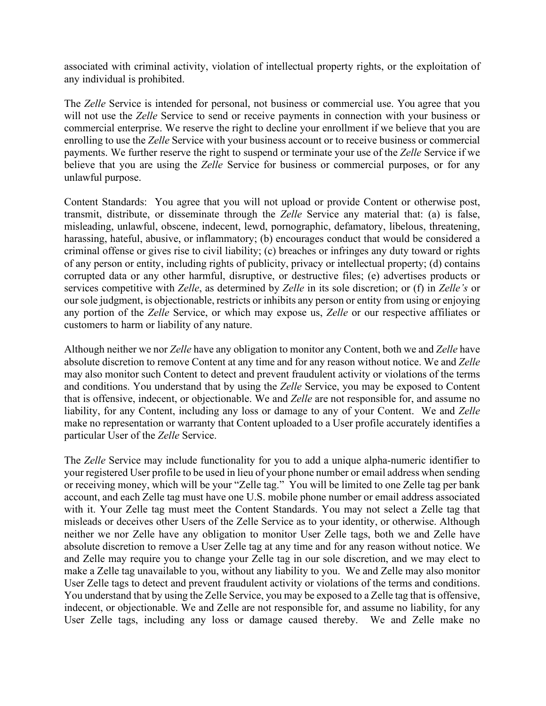associated with criminal activity, violation of intellectual property rights, or the exploitation of any individual is prohibited.

The *Zelle* Service is intended for personal, not business or commercial use. You agree that you will not use the *Zelle* Service to send or receive payments in connection with your business or commercial enterprise. We reserve the right to decline your enrollment if we believe that you are enrolling to use the *Zelle* Service with your business account or to receive business or commercial payments. We further reserve the right to suspend or terminate your use of the *Zelle* Service if we believe that you are using the *Zelle* Service for business or commercial purposes, or for any unlawful purpose.

Content Standards: You agree that you will not upload or provide Content or otherwise post, transmit, distribute, or disseminate through the *Zelle* Service any material that: (a) is false, misleading, unlawful, obscene, indecent, lewd, pornographic, defamatory, libelous, threatening, harassing, hateful, abusive, or inflammatory; (b) encourages conduct that would be considered a criminal offense or gives rise to civil liability; (c) breaches or infringes any duty toward or rights of any person or entity, including rights of publicity, privacy or intellectual property; (d) contains corrupted data or any other harmful, disruptive, or destructive files; (e) advertises products or services competitive with *Zelle*, as determined by *Zelle* in its sole discretion; or (f) in *Zelle's* or our sole judgment, is objectionable, restricts or inhibits any person or entity from using or enjoying any portion of the *Zelle* Service, or which may expose us, *Zelle* or our respective affiliates or customers to harm or liability of any nature.

Although neither we nor *Zelle* have any obligation to monitor any Content, both we and *Zelle* have absolute discretion to remove Content at any time and for any reason without notice. We and *Zelle* may also monitor such Content to detect and prevent fraudulent activity or violations of the terms and conditions. You understand that by using the *Zelle* Service, you may be exposed to Content that is offensive, indecent, or objectionable. We and *Zelle* are not responsible for, and assume no liability, for any Content, including any loss or damage to any of your Content. We and *Zelle* make no representation or warranty that Content uploaded to a User profile accurately identifies a particular User of the *Zelle* Service.

The *Zelle* Service may include functionality for you to add a unique alpha-numeric identifier to your registered User profile to be used in lieu of your phone number or email address when sending or receiving money, which will be your "Zelle tag." You will be limited to one Zelle tag per bank account, and each Zelle tag must have one U.S. mobile phone number or email address associated with it. Your Zelle tag must meet the Content Standards. You may not select a Zelle tag that misleads or deceives other Users of the Zelle Service as to your identity, or otherwise. Although neither we nor Zelle have any obligation to monitor User Zelle tags, both we and Zelle have absolute discretion to remove a User Zelle tag at any time and for any reason without notice. We and Zelle may require you to change your Zelle tag in our sole discretion, and we may elect to make a Zelle tag unavailable to you, without any liability to you. We and Zelle may also monitor User Zelle tags to detect and prevent fraudulent activity or violations of the terms and conditions. You understand that by using the Zelle Service, you may be exposed to a Zelle tag that is offensive, indecent, or objectionable. We and Zelle are not responsible for, and assume no liability, for any User Zelle tags, including any loss or damage caused thereby. We and Zelle make no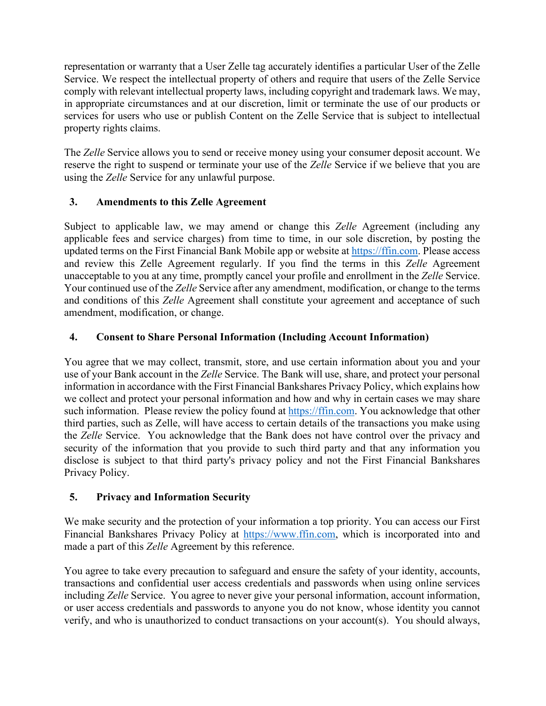representation or warranty that a User Zelle tag accurately identifies a particular User of the Zelle Service. We respect the intellectual property of others and require that users of the Zelle Service comply with relevant intellectual property laws, including copyright and trademark laws. We may, in appropriate circumstances and at our discretion, limit or terminate the use of our products or services for users who use or publish Content on the Zelle Service that is subject to intellectual property rights claims.

The *Zelle* Service allows you to send or receive money using your consumer deposit account. We reserve the right to suspend or terminate your use of the *Zelle* Service if we believe that you are using the *Zelle* Service for any unlawful purpose.

## **3. Amendments to this Zelle Agreement**

Subject to applicable law, we may amend or change this *Zelle* Agreement (including any applicable fees and service charges) from time to time, in our sole discretion, by posting the updated terms on the First Financial Bank Mobile app or website at [https://ffin.com.](https://ffin.com/) Please access and review this Zelle Agreement regularly. If you find the terms in this *Zelle* Agreement unacceptable to you at any time, promptly cancel your profile and enrollment in the *Zelle* Service. Your continued use of the *Zelle* Service after any amendment, modification, or change to the terms and conditions of this *Zelle* Agreement shall constitute your agreement and acceptance of such amendment, modification, or change.

## **4. Consent to Share Personal Information (Including Account Information)**

You agree that we may collect, transmit, store, and use certain information about you and your use of your Bank account in the *Zelle* Service. The Bank will use, share, and protect your personal information in accordance with the First Financial Bankshares Privacy Policy, which explains how we collect and protect your personal information and how and why in certain cases we may share such information. Please review the policy found at [https://ffin.com.](https://ffin.com/) You acknowledge that other third parties, such as Zelle, will have access to certain details of the transactions you make using the *Zelle* Service. You acknowledge that the Bank does not have control over the privacy and security of the information that you provide to such third party and that any information you disclose is subject to that third party's privacy policy and not the First Financial Bankshares Privacy Policy.

## **5. Privacy and Information Security**

We make security and the protection of your information a top priority. You can access our First Financial Bankshares Privacy Policy at [https://www.ffin.com,](http://www.ffin.com/) which is incorporated into and made a part of this *Zelle* Agreement by this reference.

You agree to take every precaution to safeguard and ensure the safety of your identity, accounts, transactions and confidential user access credentials and passwords when using online services including *Zelle* Service. You agree to never give your personal information, account information, or user access credentials and passwords to anyone you do not know, whose identity you cannot verify, and who is unauthorized to conduct transactions on your account(s). You should always,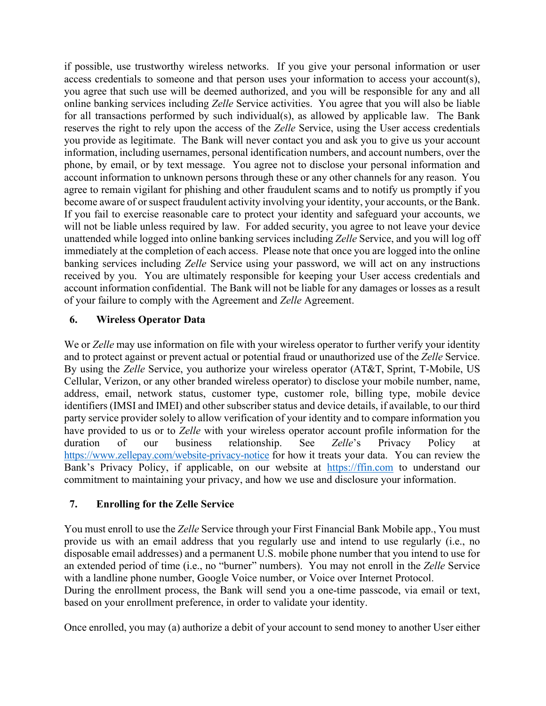if possible, use trustworthy wireless networks. If you give your personal information or user access credentials to someone and that person uses your information to access your account(s), you agree that such use will be deemed authorized, and you will be responsible for any and all online banking services including *Zelle* Service activities. You agree that you will also be liable for all transactions performed by such individual(s), as allowed by applicable law. The Bank reserves the right to rely upon the access of the *Zelle* Service, using the User access credentials you provide as legitimate. The Bank will never contact you and ask you to give us your account information, including usernames, personal identification numbers, and account numbers, over the phone, by email, or by text message. You agree not to disclose your personal information and account information to unknown persons through these or any other channels for any reason. You agree to remain vigilant for phishing and other fraudulent scams and to notify us promptly if you become aware of or suspect fraudulent activity involving your identity, your accounts, or the Bank. If you fail to exercise reasonable care to protect your identity and safeguard your accounts, we will not be liable unless required by law. For added security, you agree to not leave your device unattended while logged into online banking services including *Zelle* Service, and you will log off immediately at the completion of each access. Please note that once you are logged into the online banking services including *Zelle* Service using your password, we will act on any instructions received by you. You are ultimately responsible for keeping your User access credentials and account information confidential. The Bank will not be liable for any damages or losses as a result of your failure to comply with the Agreement and *Zelle* Agreement.

## **6. Wireless Operator Data**

We or *Zelle* may use information on file with your wireless operator to further verify your identity and to protect against or prevent actual or potential fraud or unauthorized use of the *Zelle* Service. By using the *Zelle* Service, you authorize your wireless operator (AT&T, Sprint, T-Mobile, US Cellular, Verizon, or any other branded wireless operator) to disclose your mobile number, name, address, email, network status, customer type, customer role, billing type, mobile device identifiers (IMSI and IMEI) and other subscriber status and device details, if available, to our third party service provider solely to allow verification of your identity and to compare information you have provided to us or to *Zelle* with your wireless operator account profile information for the duration of our business relationship. See *Zelle*'s Privacy Policy at <https://www.zellepay.com/website-privacy-notice> for how it treats your data. You can review the Bank's Privacy Policy, if applicable, on our website at [https://ffin.com](https://ffin.com/) to understand our commitment to maintaining your privacy, and how we use and disclosure your information.

## **7. Enrolling for the Zelle Service**

You must enroll to use the *Zelle* Service through your First Financial Bank Mobile app., You must provide us with an email address that you regularly use and intend to use regularly (i.e., no disposable email addresses) and a permanent U.S. mobile phone number that you intend to use for an extended period of time (i.e., no "burner" numbers). You may not enroll in the *Zelle* Service with a landline phone number, Google Voice number, or Voice over Internet Protocol.

During the enrollment process, the Bank will send you a one-time passcode, via email or text, based on your enrollment preference, in order to validate your identity.

Once enrolled, you may (a) authorize a debit of your account to send money to another User either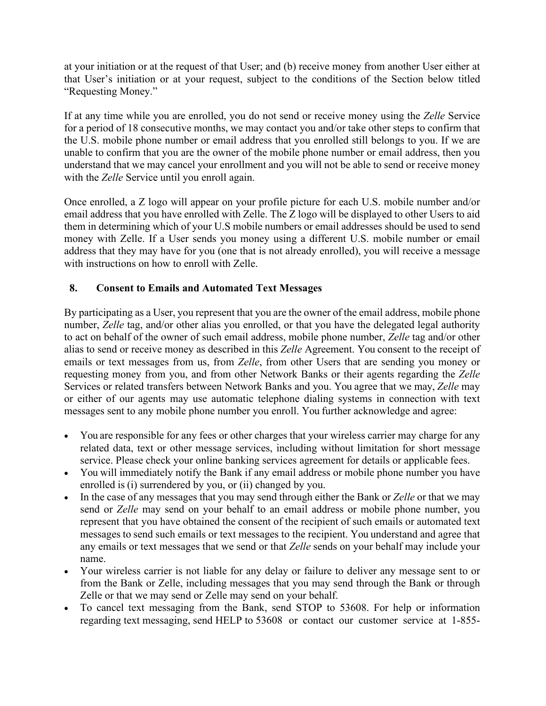at your initiation or at the request of that User; and (b) receive money from another User either at that User's initiation or at your request, subject to the conditions of the Section below titled "Requesting Money."

If at any time while you are enrolled, you do not send or receive money using the *Zelle* Service for a period of 18 consecutive months, we may contact you and/or take other steps to confirm that the U.S. mobile phone number or email address that you enrolled still belongs to you. If we are unable to confirm that you are the owner of the mobile phone number or email address, then you understand that we may cancel your enrollment and you will not be able to send or receive money with the *Zelle* Service until you enroll again.

Once enrolled, a Z logo will appear on your profile picture for each U.S. mobile number and/or email address that you have enrolled with Zelle. The Z logo will be displayed to other Users to aid them in determining which of your U.S mobile numbers or email addresses should be used to send money with Zelle. If a User sends you money using a different U.S. mobile number or email address that they may have for you (one that is not already enrolled), you will receive a message with instructions on how to enroll with Zelle.

## **8. Consent to Emails and Automated Text Messages**

By participating as a User, you represent that you are the owner of the email address, mobile phone number, *Zelle* tag, and/or other alias you enrolled, or that you have the delegated legal authority to act on behalf of the owner of such email address, mobile phone number, *Zelle* tag and/or other alias to send or receive money as described in this *Zelle* Agreement. You consent to the receipt of emails or text messages from us, from *Zelle*, from other Users that are sending you money or requesting money from you, and from other Network Banks or their agents regarding the *Zelle*  Services or related transfers between Network Banks and you. You agree that we may, *Zelle* may or either of our agents may use automatic telephone dialing systems in connection with text messages sent to any mobile phone number you enroll. You further acknowledge and agree:

- You are responsible for any fees or other charges that your wireless carrier may charge for any related data, text or other message services, including without limitation for short message service. Please check your online banking services agreement for details or applicable fees.
- You will immediately notify the Bank if any email address or mobile phone number you have enrolled is (i) surrendered by you, or (ii) changed by you.
- In the case of any messages that you may send through either the Bank or *Zelle* or that we may send or *Zelle* may send on your behalf to an email address or mobile phone number, you represent that you have obtained the consent of the recipient of such emails or automated text messages to send such emails or text messages to the recipient. You understand and agree that any emails or text messages that we send or that *Zelle* sends on your behalf may include your name.
- Your wireless carrier is not liable for any delay or failure to deliver any message sent to or from the Bank or Zelle, including messages that you may send through the Bank or through Zelle or that we may send or Zelle may send on your behalf.
- To cancel text messaging from the Bank, send STOP to 53608. For help or information regarding text messaging, send HELP to 53608 or contact our customer service at 1-855-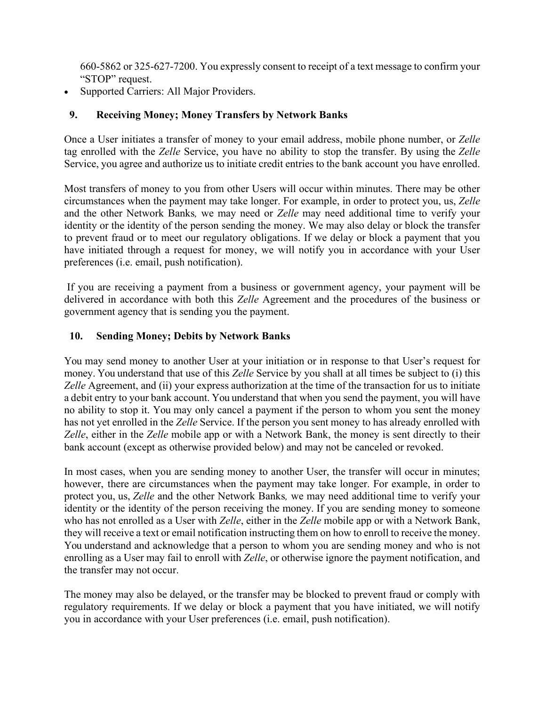660-5862 or 325-627-7200. You expressly consent to receipt of a text message to confirm your "STOP" request.

• Supported Carriers: All Major Providers.

## **9. Receiving Money; Money Transfers by Network Banks**

Once a User initiates a transfer of money to your email address, mobile phone number, or *Zelle*  tag enrolled with the *Zelle* Service, you have no ability to stop the transfer. By using the *Zelle* Service, you agree and authorize us to initiate credit entries to the bank account you have enrolled.

Most transfers of money to you from other Users will occur within minutes. There may be other circumstances when the payment may take longer. For example, in order to protect you, us, *Zelle*  and the other Network Banks*,* we may need or *Zelle* may need additional time to verify your identity or the identity of the person sending the money. We may also delay or block the transfer to prevent fraud or to meet our regulatory obligations. If we delay or block a payment that you have initiated through a request for money, we will notify you in accordance with your User preferences (i.e. email, push notification).

If you are receiving a payment from a business or government agency, your payment will be delivered in accordance with both this *Zelle* Agreement and the procedures of the business or government agency that is sending you the payment.

## **10. Sending Money; Debits by Network Banks**

You may send money to another User at your initiation or in response to that User's request for money. You understand that use of this *Zelle* Service by you shall at all times be subject to (i) this *Zelle* Agreement, and (ii) your express authorization at the time of the transaction for us to initiate a debit entry to your bank account. You understand that when you send the payment, you will have no ability to stop it. You may only cancel a payment if the person to whom you sent the money has not yet enrolled in the *Zelle* Service. If the person you sent money to has already enrolled with *Zelle*, either in the *Zelle* mobile app or with a Network Bank, the money is sent directly to their bank account (except as otherwise provided below) and may not be canceled or revoked.

In most cases, when you are sending money to another User, the transfer will occur in minutes; however, there are circumstances when the payment may take longer. For example, in order to protect you, us, *Zelle* and the other Network Banks*,* we may need additional time to verify your identity or the identity of the person receiving the money. If you are sending money to someone who has not enrolled as a User with *Zelle*, either in the *Zelle* mobile app or with a Network Bank, they will receive a text or email notification instructing them on how to enroll to receive the money. You understand and acknowledge that a person to whom you are sending money and who is not enrolling as a User may fail to enroll with *Zelle*, or otherwise ignore the payment notification, and the transfer may not occur.

The money may also be delayed, or the transfer may be blocked to prevent fraud or comply with regulatory requirements. If we delay or block a payment that you have initiated, we will notify you in accordance with your User preferences (i.e. email, push notification).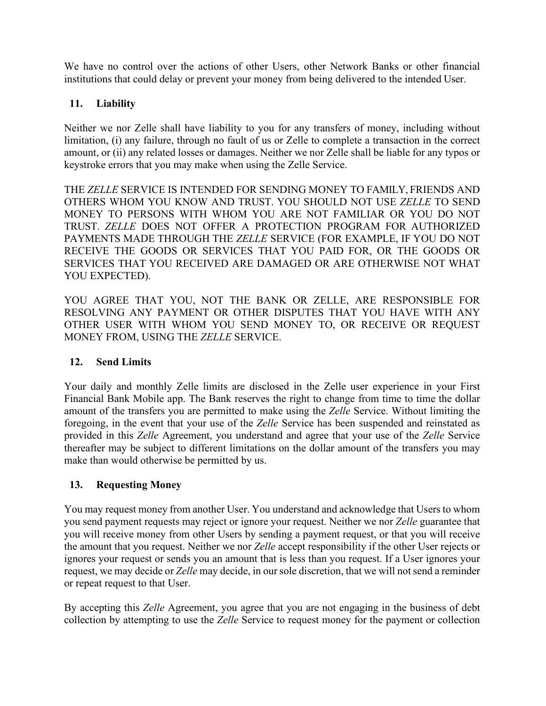We have no control over the actions of other Users, other Network Banks or other financial institutions that could delay or prevent your money from being delivered to the intended User.

## **11. Liability**

Neither we nor Zelle shall have liability to you for any transfers of money, including without limitation, (i) any failure, through no fault of us or Zelle to complete a transaction in the correct amount, or (ii) any related losses or damages. Neither we nor Zelle shall be liable for any typos or keystroke errors that you may make when using the Zelle Service.

THE *ZELLE* SERVICE IS INTENDED FOR SENDING MONEY TO FAMILY, FRIENDS AND OTHERS WHOM YOU KNOW AND TRUST. YOU SHOULD NOT USE *ZELLE* TO SEND MONEY TO PERSONS WITH WHOM YOU ARE NOT FAMILIAR OR YOU DO NOT TRUST. *ZELLE* DOES NOT OFFER A PROTECTION PROGRAM FOR AUTHORIZED PAYMENTS MADE THROUGH THE *ZELLE* SERVICE (FOR EXAMPLE, IF YOU DO NOT RECEIVE THE GOODS OR SERVICES THAT YOU PAID FOR, OR THE GOODS OR SERVICES THAT YOU RECEIVED ARE DAMAGED OR ARE OTHERWISE NOT WHAT YOU EXPECTED).

YOU AGREE THAT YOU, NOT THE BANK OR ZELLE, ARE RESPONSIBLE FOR RESOLVING ANY PAYMENT OR OTHER DISPUTES THAT YOU HAVE WITH ANY OTHER USER WITH WHOM YOU SEND MONEY TO, OR RECEIVE OR REQUEST MONEY FROM, USING THE *ZELLE* SERVICE.

## **12. Send Limits**

Your daily and monthly Zelle limits are disclosed in the Zelle user experience in your First Financial Bank Mobile app. The Bank reserves the right to change from time to time the dollar amount of the transfers you are permitted to make using the *Zelle* Service. Without limiting the foregoing, in the event that your use of the *Zelle* Service has been suspended and reinstated as provided in this *Zelle* Agreement, you understand and agree that your use of the *Zelle* Service thereafter may be subject to different limitations on the dollar amount of the transfers you may make than would otherwise be permitted by us.

## **13. Requesting Money**

You may request money from another User. You understand and acknowledge that Users to whom you send payment requests may reject or ignore your request. Neither we nor *Zelle* guarantee that you will receive money from other Users by sending a payment request, or that you will receive the amount that you request. Neither we nor *Zelle* accept responsibility if the other User rejects or ignores your request or sends you an amount that is less than you request. If a User ignores your request, we may decide or *Zelle* may decide, in our sole discretion, that we will not send a reminder or repeat request to that User.

By accepting this *Zelle* Agreement, you agree that you are not engaging in the business of debt collection by attempting to use the *Zelle* Service to request money for the payment or collection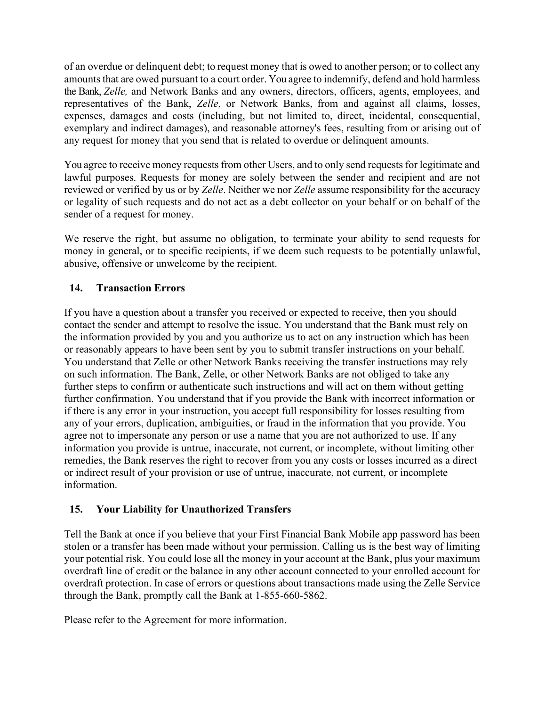of an overdue or delinquent debt; to request money that is owed to another person; or to collect any amounts that are owed pursuant to a court order. You agree to indemnify, defend and hold harmless the Bank, *Zelle,* and Network Banks and any owners, directors, officers, agents, employees, and representatives of the Bank, *Zelle*, or Network Banks, from and against all claims, losses, expenses, damages and costs (including, but not limited to, direct, incidental, consequential, exemplary and indirect damages), and reasonable attorney's fees, resulting from or arising out of any request for money that you send that is related to overdue or delinquent amounts.

You agree to receive money requests from other Users, and to only send requests for legitimate and lawful purposes. Requests for money are solely between the sender and recipient and are not reviewed or verified by us or by *Zelle*. Neither we nor *Zelle* assume responsibility for the accuracy or legality of such requests and do not act as a debt collector on your behalf or on behalf of the sender of a request for money.

We reserve the right, but assume no obligation, to terminate your ability to send requests for money in general, or to specific recipients, if we deem such requests to be potentially unlawful, abusive, offensive or unwelcome by the recipient.

## **14. Transaction Errors**

If you have a question about a transfer you received or expected to receive, then you should contact the sender and attempt to resolve the issue. You understand that the Bank must rely on the information provided by you and you authorize us to act on any instruction which has been or reasonably appears to have been sent by you to submit transfer instructions on your behalf. You understand that Zelle or other Network Banks receiving the transfer instructions may rely on such information. The Bank, Zelle, or other Network Banks are not obliged to take any further steps to confirm or authenticate such instructions and will act on them without getting further confirmation. You understand that if you provide the Bank with incorrect information or if there is any error in your instruction, you accept full responsibility for losses resulting from any of your errors, duplication, ambiguities, or fraud in the information that you provide. You agree not to impersonate any person or use a name that you are not authorized to use. If any information you provide is untrue, inaccurate, not current, or incomplete, without limiting other remedies, the Bank reserves the right to recover from you any costs or losses incurred as a direct or indirect result of your provision or use of untrue, inaccurate, not current, or incomplete information.

#### **15. Your Liability for Unauthorized Transfers**

Tell the Bank at once if you believe that your First Financial Bank Mobile app password has been stolen or a transfer has been made without your permission. Calling us is the best way of limiting your potential risk. You could lose all the money in your account at the Bank, plus your maximum overdraft line of credit or the balance in any other account connected to your enrolled account for overdraft protection. In case of errors or questions about transactions made using the Zelle Service through the Bank, promptly call the Bank at 1-855-660-5862.

Please refer to the Agreement for more information.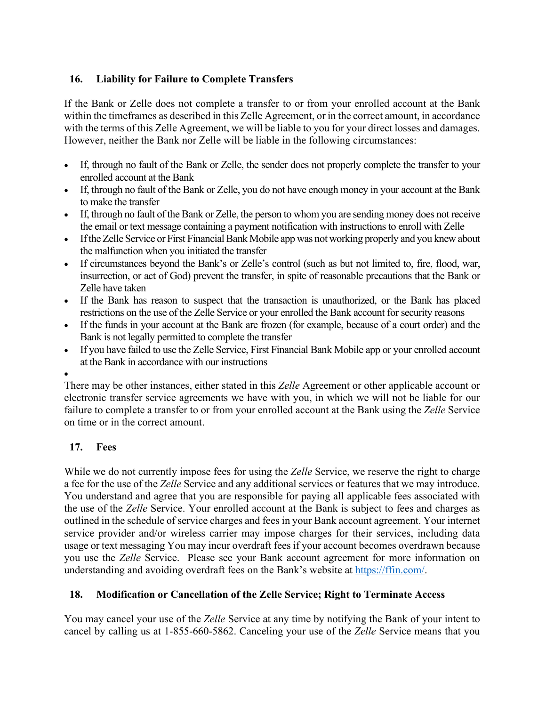## **16. Liability for Failure to Complete Transfers**

If the Bank or Zelle does not complete a transfer to or from your enrolled account at the Bank within the timeframes as described in this Zelle Agreement, or in the correct amount, in accordance with the terms of this Zelle Agreement, we will be liable to you for your direct losses and damages. However, neither the Bank nor Zelle will be liable in the following circumstances:

- If, through no fault of the Bank or Zelle, the sender does not properly complete the transfer to your enrolled account at the Bank
- If, through no fault of the Bank or Zelle, you do not have enough money in your account at the Bank to make the transfer
- If, through no fault of the Bank or Zelle, the person to whom you are sending money does not receive the email or text message containing a payment notification with instructions to enroll with Zelle
- If the Zelle Service or First Financial Bank Mobile app was not working properly and you knew about the malfunction when you initiated the transfer
- If circumstances beyond the Bank's or Zelle's control (such as but not limited to, fire, flood, war, insurrection, or act of God) prevent the transfer, in spite of reasonable precautions that the Bank or Zelle have taken
- If the Bank has reason to suspect that the transaction is unauthorized, or the Bank has placed restrictions on the use of the Zelle Service or your enrolled the Bank account for security reasons
- If the funds in your account at the Bank are frozen (for example, because of a court order) and the Bank is not legally permitted to complete the transfer
- If you have failed to use the Zelle Service, First Financial Bank Mobile app or your enrolled account at the Bank in accordance with our instructions
- •

There may be other instances, either stated in this *Zelle* Agreement or other applicable account or electronic transfer service agreements we have with you, in which we will not be liable for our failure to complete a transfer to or from your enrolled account at the Bank using the *Zelle* Service on time or in the correct amount.

## **17. Fees**

While we do not currently impose fees for using the *Zelle* Service, we reserve the right to charge a fee for the use of the *Zelle* Service and any additional services or features that we may introduce. You understand and agree that you are responsible for paying all applicable fees associated with the use of the *Zelle* Service. Your enrolled account at the Bank is subject to fees and charges as outlined in the schedule of service charges and fees in your Bank account agreement. Your internet service provider and/or wireless carrier may impose charges for their services, including data usage or text messaging You may incur overdraft fees if your account becomes overdrawn because you use the *Zelle* Service. Please see your Bank account agreement for more information on understanding and avoiding overdraft fees on the Bank's website at [https://ffin.com/.](https://ffin.com/)

## **18. Modification or Cancellation of the Zelle Service; Right to Terminate Access**

You may cancel your use of the *Zelle* Service at any time by notifying the Bank of your intent to cancel by calling us at 1-855-660-5862. Canceling your use of the *Zelle* Service means that you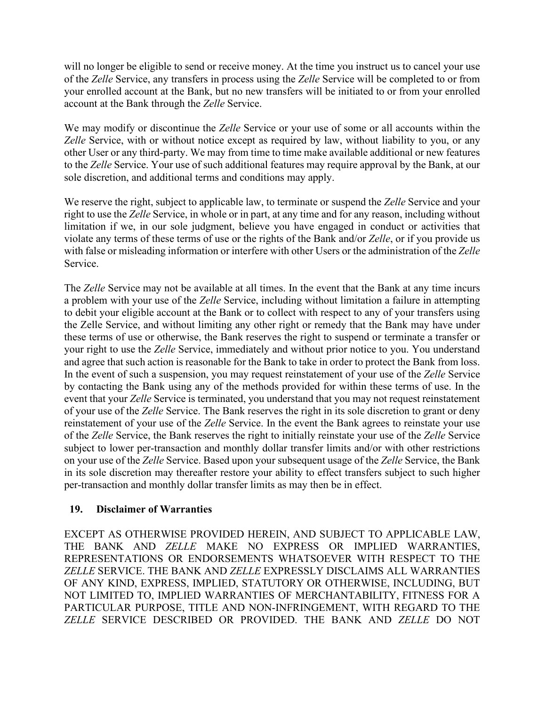will no longer be eligible to send or receive money. At the time you instruct us to cancel your use of the *Zelle* Service, any transfers in process using the *Zelle* Service will be completed to or from your enrolled account at the Bank, but no new transfers will be initiated to or from your enrolled account at the Bank through the *Zelle* Service.

We may modify or discontinue the *Zelle* Service or your use of some or all accounts within the *Zelle* Service, with or without notice except as required by law, without liability to you, or any other User or any third-party. We may from time to time make available additional or new features to the *Zelle* Service. Your use of such additional features may require approval by the Bank, at our sole discretion, and additional terms and conditions may apply.

We reserve the right, subject to applicable law, to terminate or suspend the *Zelle* Service and your right to use the *Zelle* Service, in whole or in part, at any time and for any reason, including without limitation if we, in our sole judgment, believe you have engaged in conduct or activities that violate any terms of these terms of use or the rights of the Bank and/or *Zelle*, or if you provide us with false or misleading information or interfere with other Users or the administration of the *Zelle* Service.

The *Zelle* Service may not be available at all times. In the event that the Bank at any time incurs a problem with your use of the *Zelle* Service, including without limitation a failure in attempting to debit your eligible account at the Bank or to collect with respect to any of your transfers using the Zelle Service, and without limiting any other right or remedy that the Bank may have under these terms of use or otherwise, the Bank reserves the right to suspend or terminate a transfer or your right to use the *Zelle* Service, immediately and without prior notice to you. You understand and agree that such action is reasonable for the Bank to take in order to protect the Bank from loss. In the event of such a suspension, you may request reinstatement of your use of the *Zelle* Service by contacting the Bank using any of the methods provided for within these terms of use. In the event that your *Zelle* Service is terminated, you understand that you may not request reinstatement of your use of the *Zelle* Service. The Bank reserves the right in its sole discretion to grant or deny reinstatement of your use of the *Zelle* Service. In the event the Bank agrees to reinstate your use of the *Zelle* Service, the Bank reserves the right to initially reinstate your use of the *Zelle* Service subject to lower per-transaction and monthly dollar transfer limits and/or with other restrictions on your use of the *Zelle* Service. Based upon your subsequent usage of the *Zelle* Service, the Bank in its sole discretion may thereafter restore your ability to effect transfers subject to such higher per-transaction and monthly dollar transfer limits as may then be in effect.

## **19. Disclaimer of Warranties**

EXCEPT AS OTHERWISE PROVIDED HEREIN, AND SUBJECT TO APPLICABLE LAW, THE BANK AND *ZELLE* MAKE NO EXPRESS OR IMPLIED WARRANTIES, REPRESENTATIONS OR ENDORSEMENTS WHATSOEVER WITH RESPECT TO THE *ZELLE* SERVICE. THE BANK AND *ZELLE* EXPRESSLY DISCLAIMS ALL WARRANTIES OF ANY KIND, EXPRESS, IMPLIED, STATUTORY OR OTHERWISE, INCLUDING, BUT NOT LIMITED TO, IMPLIED WARRANTIES OF MERCHANTABILITY, FITNESS FOR A PARTICULAR PURPOSE, TITLE AND NON-INFRINGEMENT, WITH REGARD TO THE *ZELLE* SERVICE DESCRIBED OR PROVIDED. THE BANK AND *ZELLE* DO NOT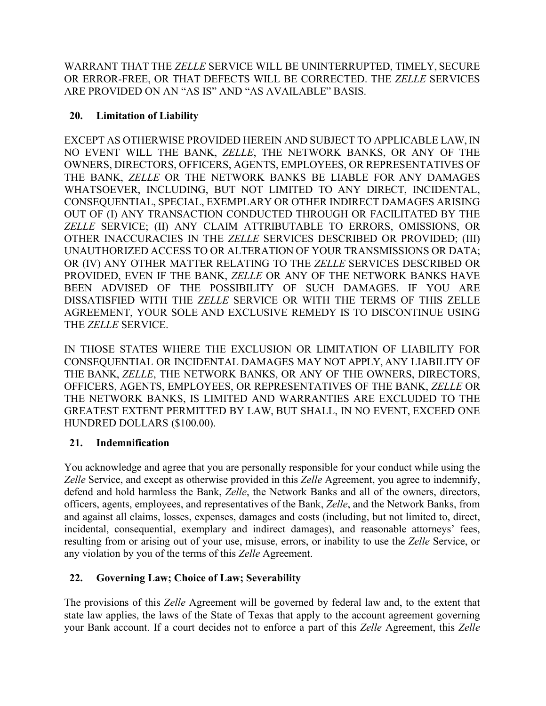WARRANT THAT THE *ZELLE* SERVICE WILL BE UNINTERRUPTED, TIMELY, SECURE OR ERROR-FREE, OR THAT DEFECTS WILL BE CORRECTED. THE *ZELLE* SERVICES ARE PROVIDED ON AN "AS IS" AND "AS AVAILABLE" BASIS.

## **20. Limitation of Liability**

EXCEPT AS OTHERWISE PROVIDED HEREIN AND SUBJECT TO APPLICABLE LAW, IN NO EVENT WILL THE BANK, *ZELLE*, THE NETWORK BANKS, OR ANY OF THE OWNERS, DIRECTORS, OFFICERS, AGENTS, EMPLOYEES, OR REPRESENTATIVES OF THE BANK, *ZELLE* OR THE NETWORK BANKS BE LIABLE FOR ANY DAMAGES WHATSOEVER, INCLUDING, BUT NOT LIMITED TO ANY DIRECT, INCIDENTAL, CONSEQUENTIAL, SPECIAL, EXEMPLARY OR OTHER INDIRECT DAMAGES ARISING OUT OF (I) ANY TRANSACTION CONDUCTED THROUGH OR FACILITATED BY THE *ZELLE* SERVICE; (II) ANY CLAIM ATTRIBUTABLE TO ERRORS, OMISSIONS, OR OTHER INACCURACIES IN THE *ZELLE* SERVICES DESCRIBED OR PROVIDED; (III) UNAUTHORIZED ACCESS TO OR ALTERATION OF YOUR TRANSMISSIONS OR DATA; OR (IV) ANY OTHER MATTER RELATING TO THE *ZELLE* SERVICES DESCRIBED OR PROVIDED, EVEN IF THE BANK, *ZELLE* OR ANY OF THE NETWORK BANKS HAVE BEEN ADVISED OF THE POSSIBILITY OF SUCH DAMAGES. IF YOU ARE DISSATISFIED WITH THE *ZELLE* SERVICE OR WITH THE TERMS OF THIS ZELLE AGREEMENT, YOUR SOLE AND EXCLUSIVE REMEDY IS TO DISCONTINUE USING THE *ZELLE* SERVICE.

IN THOSE STATES WHERE THE EXCLUSION OR LIMITATION OF LIABILITY FOR CONSEQUENTIAL OR INCIDENTAL DAMAGES MAY NOT APPLY, ANY LIABILITY OF THE BANK, *ZELLE*, THE NETWORK BANKS, OR ANY OF THE OWNERS, DIRECTORS, OFFICERS, AGENTS, EMPLOYEES, OR REPRESENTATIVES OF THE BANK, *ZELLE* OR THE NETWORK BANKS, IS LIMITED AND WARRANTIES ARE EXCLUDED TO THE GREATEST EXTENT PERMITTED BY LAW, BUT SHALL, IN NO EVENT, EXCEED ONE HUNDRED DOLLARS (\$100.00).

## **21. Indemnification**

You acknowledge and agree that you are personally responsible for your conduct while using the *Zelle* Service, and except as otherwise provided in this *Zelle* Agreement, you agree to indemnify, defend and hold harmless the Bank, *Zelle*, the Network Banks and all of the owners, directors, officers, agents, employees, and representatives of the Bank, *Zelle*, and the Network Banks, from and against all claims, losses, expenses, damages and costs (including, but not limited to, direct, incidental, consequential, exemplary and indirect damages), and reasonable attorneys' fees, resulting from or arising out of your use, misuse, errors, or inability to use the *Zelle* Service, or any violation by you of the terms of this *Zelle* Agreement.

## **22. Governing Law; Choice of Law; Severability**

The provisions of this *Zelle* Agreement will be governed by federal law and, to the extent that state law applies, the laws of the State of Texas that apply to the account agreement governing your Bank account. If a court decides not to enforce a part of this *Zelle* Agreement, this *Zelle*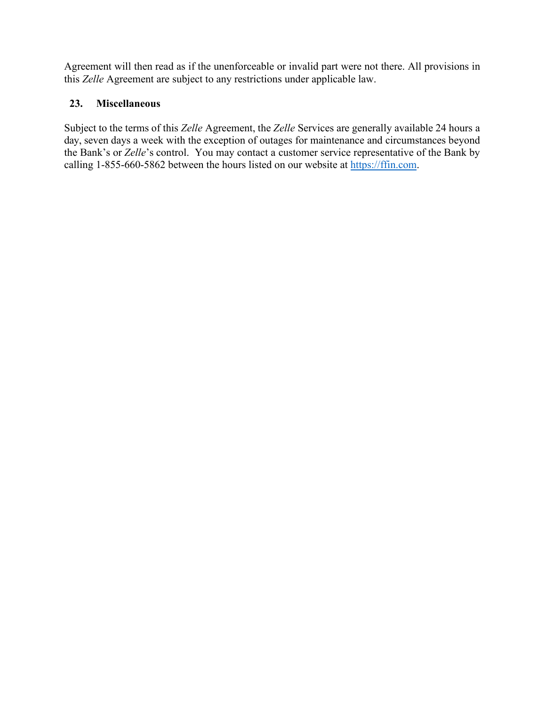Agreement will then read as if the unenforceable or invalid part were not there. All provisions in this *Zelle* Agreement are subject to any restrictions under applicable law.

## **23. Miscellaneous**

Subject to the terms of this *Zelle* Agreement, the *Zelle* Services are generally available 24 hours a day, seven days a week with the exception of outages for maintenance and circumstances beyond the Bank's or *Zelle*'s control. You may contact a customer service representative of the Bank by calling 1-855-660-5862 between the hours listed on our website at [https://ffin.com.](https://ffin.com/)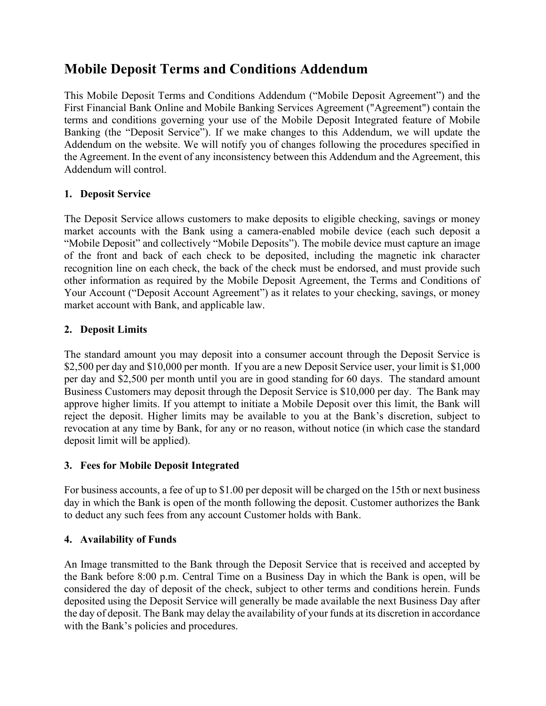## **Mobile Deposit Terms and Conditions Addendum**

This Mobile Deposit Terms and Conditions Addendum ("Mobile Deposit Agreement") and the First Financial Bank Online and Mobile Banking Services Agreement ("Agreement") contain the terms and conditions governing your use of the Mobile Deposit Integrated feature of Mobile Banking (the "Deposit Service"). If we make changes to this Addendum, we will update the Addendum on the website. We will notify you of changes following the procedures specified in the Agreement. In the event of any inconsistency between this Addendum and the Agreement, this Addendum will control.

## **1. Deposit Service**

The Deposit Service allows customers to make deposits to eligible checking, savings or money market accounts with the Bank using a camera-enabled mobile device (each such deposit a "Mobile Deposit" and collectively "Mobile Deposits"). The mobile device must capture an image of the front and back of each check to be deposited, including the magnetic ink character recognition line on each check, the back of the check must be endorsed, and must provide such other information as required by the Mobile Deposit Agreement, the Terms and Conditions of Your Account ("Deposit Account Agreement") as it relates to your checking, savings, or money market account with Bank, and applicable law.

## **2. Deposit Limits**

The standard amount you may deposit into a consumer account through the Deposit Service is \$2,500 per day and \$10,000 per month. If you are a new Deposit Service user, your limit is \$1,000 per day and \$2,500 per month until you are in good standing for 60 days. The standard amount Business Customers may deposit through the Deposit Service is \$10,000 per day. The Bank may approve higher limits. If you attempt to initiate a Mobile Deposit over this limit, the Bank will reject the deposit. Higher limits may be available to you at the Bank's discretion, subject to revocation at any time by Bank, for any or no reason, without notice (in which case the standard deposit limit will be applied).

## **3. Fees for Mobile Deposit Integrated**

For business accounts, a fee of up to \$1.00 per deposit will be charged on the 15th or next business day in which the Bank is open of the month following the deposit. Customer authorizes the Bank to deduct any such fees from any account Customer holds with Bank.

## **4. Availability of Funds**

An Image transmitted to the Bank through the Deposit Service that is received and accepted by the Bank before 8:00 p.m. Central Time on a Business Day in which the Bank is open, will be considered the day of deposit of the check, subject to other terms and conditions herein. Funds deposited using the Deposit Service will generally be made available the next Business Day after the day of deposit. The Bank may delay the availability of your funds at its discretion in accordance with the Bank's policies and procedures.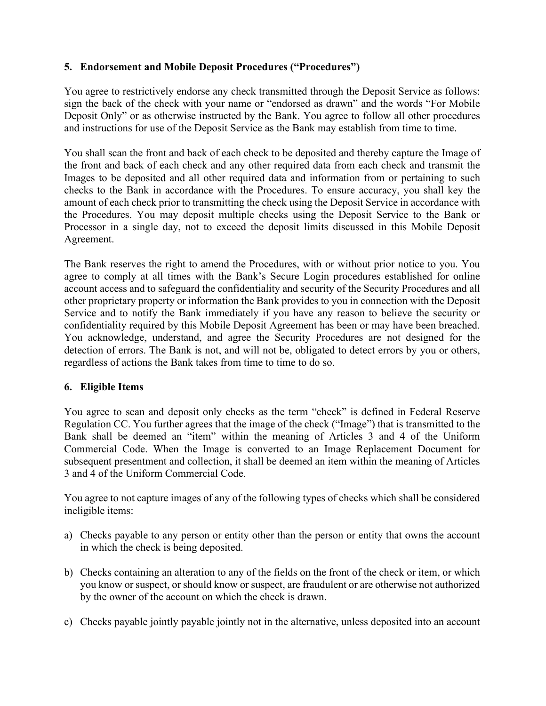## **5. Endorsement and Mobile Deposit Procedures ("Procedures")**

You agree to restrictively endorse any check transmitted through the Deposit Service as follows: sign the back of the check with your name or "endorsed as drawn" and the words "For Mobile Deposit Only" or as otherwise instructed by the Bank. You agree to follow all other procedures and instructions for use of the Deposit Service as the Bank may establish from time to time.

You shall scan the front and back of each check to be deposited and thereby capture the Image of the front and back of each check and any other required data from each check and transmit the Images to be deposited and all other required data and information from or pertaining to such checks to the Bank in accordance with the Procedures. To ensure accuracy, you shall key the amount of each check prior to transmitting the check using the Deposit Service in accordance with the Procedures. You may deposit multiple checks using the Deposit Service to the Bank or Processor in a single day, not to exceed the deposit limits discussed in this Mobile Deposit Agreement.

The Bank reserves the right to amend the Procedures, with or without prior notice to you. You agree to comply at all times with the Bank's Secure Login procedures established for online account access and to safeguard the confidentiality and security of the Security Procedures and all other proprietary property or information the Bank provides to you in connection with the Deposit Service and to notify the Bank immediately if you have any reason to believe the security or confidentiality required by this Mobile Deposit Agreement has been or may have been breached. You acknowledge, understand, and agree the Security Procedures are not designed for the detection of errors. The Bank is not, and will not be, obligated to detect errors by you or others, regardless of actions the Bank takes from time to time to do so.

## **6. Eligible Items**

You agree to scan and deposit only checks as the term "check" is defined in Federal Reserve Regulation CC. You further agrees that the image of the check ("Image") that is transmitted to the Bank shall be deemed an "item" within the meaning of Articles 3 and 4 of the Uniform Commercial Code. When the Image is converted to an Image Replacement Document for subsequent presentment and collection, it shall be deemed an item within the meaning of Articles 3 and 4 of the Uniform Commercial Code.

You agree to not capture images of any of the following types of checks which shall be considered ineligible items:

- a) Checks payable to any person or entity other than the person or entity that owns the account in which the check is being deposited.
- b) Checks containing an alteration to any of the fields on the front of the check or item, or which you know or suspect, or should know or suspect, are fraudulent or are otherwise not authorized by the owner of the account on which the check is drawn.
- c) Checks payable jointly payable jointly not in the alternative, unless deposited into an account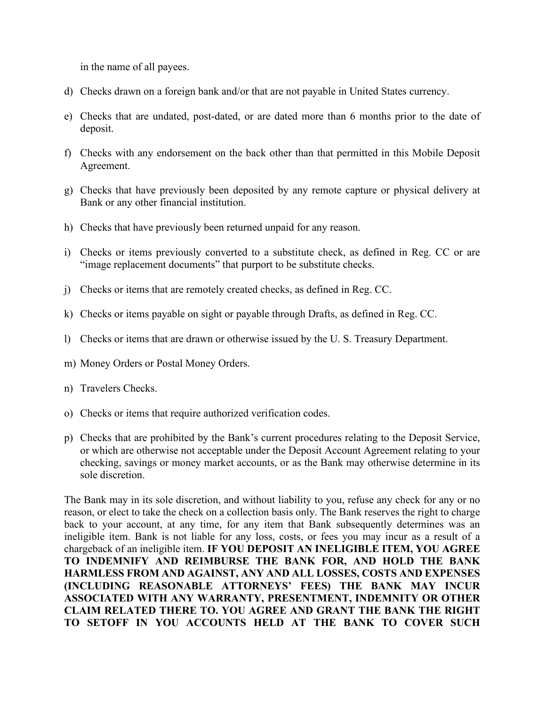in the name of all payees.

- d) Checks drawn on a foreign bank and/or that are not payable in United States currency.
- e) Checks that are undated, post-dated, or are dated more than 6 months prior to the date of deposit.
- f) Checks with any endorsement on the back other than that permitted in this Mobile Deposit Agreement.
- g) Checks that have previously been deposited by any remote capture or physical delivery at Bank or any other financial institution.
- h) Checks that have previously been returned unpaid for any reason.
- i) Checks or items previously converted to a substitute check, as defined in Reg. CC or are "image replacement documents" that purport to be substitute checks.
- j) Checks or items that are remotely created checks, as defined in Reg. CC.
- k) Checks or items payable on sight or payable through Drafts, as defined in Reg. CC.
- l) Checks or items that are drawn or otherwise issued by the U. S. Treasury Department.
- m) Money Orders or Postal Money Orders.
- n) Travelers Checks.
- o) Checks or items that require authorized verification codes.
- p) Checks that are prohibited by the Bank's current procedures relating to the Deposit Service, or which are otherwise not acceptable under the Deposit Account Agreement relating to your checking, savings or money market accounts, or as the Bank may otherwise determine in its sole discretion.

The Bank may in its sole discretion, and without liability to you, refuse any check for any or no reason, or elect to take the check on a collection basis only. The Bank reserves the right to charge back to your account, at any time, for any item that Bank subsequently determines was an ineligible item. Bank is not liable for any loss, costs, or fees you may incur as a result of a chargeback of an ineligible item. **IF YOU DEPOSIT AN INELIGIBLE ITEM, YOU AGREE TO INDEMNIFY AND REIMBURSE THE BANK FOR, AND HOLD THE BANK HARMLESS FROM AND AGAINST, ANY AND ALL LOSSES, COSTS AND EXPENSES (INCLUDING REASONABLE ATTORNEYS' FEES) THE BANK MAY INCUR ASSOCIATED WITH ANY WARRANTY, PRESENTMENT, INDEMNITY OR OTHER CLAIM RELATED THERE TO. YOU AGREE AND GRANT THE BANK THE RIGHT TO SETOFF IN YOU ACCOUNTS HELD AT THE BANK TO COVER SUCH**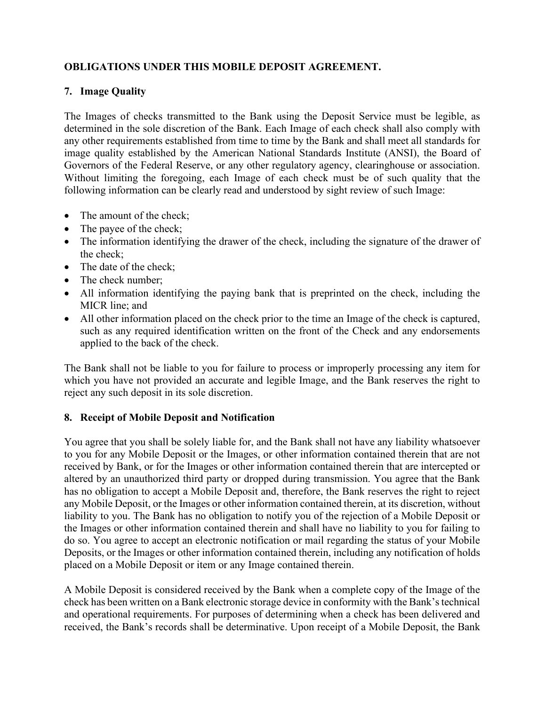## **OBLIGATIONS UNDER THIS MOBILE DEPOSIT AGREEMENT.**

## **7. Image Quality**

The Images of checks transmitted to the Bank using the Deposit Service must be legible, as determined in the sole discretion of the Bank. Each Image of each check shall also comply with any other requirements established from time to time by the Bank and shall meet all standards for image quality established by the American National Standards Institute (ANSI), the Board of Governors of the Federal Reserve, or any other regulatory agency, clearinghouse or association. Without limiting the foregoing, each Image of each check must be of such quality that the following information can be clearly read and understood by sight review of such Image:

- The amount of the check;
- The payee of the check;
- The information identifying the drawer of the check, including the signature of the drawer of the check;
- The date of the check;
- The check number;
- All information identifying the paying bank that is preprinted on the check, including the MICR line; and
- All other information placed on the check prior to the time an Image of the check is captured, such as any required identification written on the front of the Check and any endorsements applied to the back of the check.

The Bank shall not be liable to you for failure to process or improperly processing any item for which you have not provided an accurate and legible Image, and the Bank reserves the right to reject any such deposit in its sole discretion.

## **8. Receipt of Mobile Deposit and Notification**

You agree that you shall be solely liable for, and the Bank shall not have any liability whatsoever to you for any Mobile Deposit or the Images, or other information contained therein that are not received by Bank, or for the Images or other information contained therein that are intercepted or altered by an unauthorized third party or dropped during transmission. You agree that the Bank has no obligation to accept a Mobile Deposit and, therefore, the Bank reserves the right to reject any Mobile Deposit, or the Images or other information contained therein, at its discretion, without liability to you. The Bank has no obligation to notify you of the rejection of a Mobile Deposit or the Images or other information contained therein and shall have no liability to you for failing to do so. You agree to accept an electronic notification or mail regarding the status of your Mobile Deposits, or the Images or other information contained therein, including any notification of holds placed on a Mobile Deposit or item or any Image contained therein.

A Mobile Deposit is considered received by the Bank when a complete copy of the Image of the check has been written on a Bank electronic storage device in conformity with the Bank's technical and operational requirements. For purposes of determining when a check has been delivered and received, the Bank's records shall be determinative. Upon receipt of a Mobile Deposit, the Bank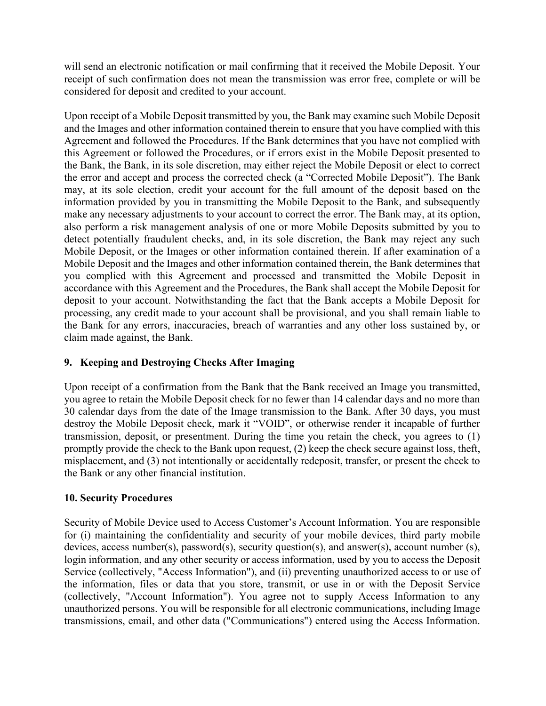will send an electronic notification or mail confirming that it received the Mobile Deposit. Your receipt of such confirmation does not mean the transmission was error free, complete or will be considered for deposit and credited to your account.

Upon receipt of a Mobile Deposit transmitted by you, the Bank may examine such Mobile Deposit and the Images and other information contained therein to ensure that you have complied with this Agreement and followed the Procedures. If the Bank determines that you have not complied with this Agreement or followed the Procedures, or if errors exist in the Mobile Deposit presented to the Bank, the Bank, in its sole discretion, may either reject the Mobile Deposit or elect to correct the error and accept and process the corrected check (a "Corrected Mobile Deposit"). The Bank may, at its sole election, credit your account for the full amount of the deposit based on the information provided by you in transmitting the Mobile Deposit to the Bank, and subsequently make any necessary adjustments to your account to correct the error. The Bank may, at its option, also perform a risk management analysis of one or more Mobile Deposits submitted by you to detect potentially fraudulent checks, and, in its sole discretion, the Bank may reject any such Mobile Deposit, or the Images or other information contained therein. If after examination of a Mobile Deposit and the Images and other information contained therein, the Bank determines that you complied with this Agreement and processed and transmitted the Mobile Deposit in accordance with this Agreement and the Procedures, the Bank shall accept the Mobile Deposit for deposit to your account. Notwithstanding the fact that the Bank accepts a Mobile Deposit for processing, any credit made to your account shall be provisional, and you shall remain liable to the Bank for any errors, inaccuracies, breach of warranties and any other loss sustained by, or claim made against, the Bank.

## **9. Keeping and Destroying Checks After Imaging**

Upon receipt of a confirmation from the Bank that the Bank received an Image you transmitted, you agree to retain the Mobile Deposit check for no fewer than 14 calendar days and no more than 30 calendar days from the date of the Image transmission to the Bank. After 30 days, you must destroy the Mobile Deposit check, mark it "VOID", or otherwise render it incapable of further transmission, deposit, or presentment. During the time you retain the check, you agrees to (1) promptly provide the check to the Bank upon request, (2) keep the check secure against loss, theft, misplacement, and (3) not intentionally or accidentally redeposit, transfer, or present the check to the Bank or any other financial institution.

## **10. Security Procedures**

Security of Mobile Device used to Access Customer's Account Information. You are responsible for (i) maintaining the confidentiality and security of your mobile devices, third party mobile devices, access number(s), password(s), security question(s), and answer(s), account number (s), login information, and any other security or access information, used by you to access the Deposit Service (collectively, "Access Information"), and (ii) preventing unauthorized access to or use of the information, files or data that you store, transmit, or use in or with the Deposit Service (collectively, "Account Information"). You agree not to supply Access Information to any unauthorized persons. You will be responsible for all electronic communications, including Image transmissions, email, and other data ("Communications") entered using the Access Information.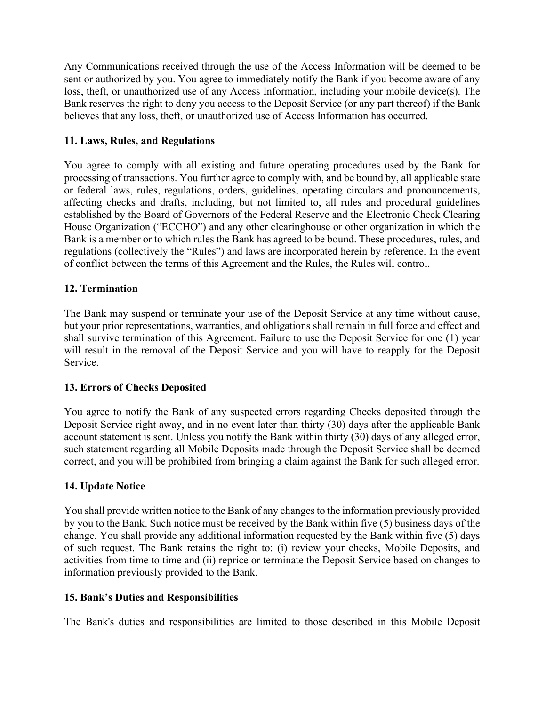Any Communications received through the use of the Access Information will be deemed to be sent or authorized by you. You agree to immediately notify the Bank if you become aware of any loss, theft, or unauthorized use of any Access Information, including your mobile device(s). The Bank reserves the right to deny you access to the Deposit Service (or any part thereof) if the Bank believes that any loss, theft, or unauthorized use of Access Information has occurred.

## **11. Laws, Rules, and Regulations**

You agree to comply with all existing and future operating procedures used by the Bank for processing of transactions. You further agree to comply with, and be bound by, all applicable state or federal laws, rules, regulations, orders, guidelines, operating circulars and pronouncements, affecting checks and drafts, including, but not limited to, all rules and procedural guidelines established by the Board of Governors of the Federal Reserve and the Electronic Check Clearing House Organization ("ECCHO") and any other clearinghouse or other organization in which the Bank is a member or to which rules the Bank has agreed to be bound. These procedures, rules, and regulations (collectively the "Rules") and laws are incorporated herein by reference. In the event of conflict between the terms of this Agreement and the Rules, the Rules will control.

## **12. Termination**

The Bank may suspend or terminate your use of the Deposit Service at any time without cause, but your prior representations, warranties, and obligations shall remain in full force and effect and shall survive termination of this Agreement. Failure to use the Deposit Service for one (1) year will result in the removal of the Deposit Service and you will have to reapply for the Deposit Service.

#### **13. Errors of Checks Deposited**

You agree to notify the Bank of any suspected errors regarding Checks deposited through the Deposit Service right away, and in no event later than thirty (30) days after the applicable Bank account statement is sent. Unless you notify the Bank within thirty (30) days of any alleged error, such statement regarding all Mobile Deposits made through the Deposit Service shall be deemed correct, and you will be prohibited from bringing a claim against the Bank for such alleged error.

## **14. Update Notice**

You shall provide written notice to the Bank of any changes to the information previously provided by you to the Bank. Such notice must be received by the Bank within five (5) business days of the change. You shall provide any additional information requested by the Bank within five (5) days of such request. The Bank retains the right to: (i) review your checks, Mobile Deposits, and activities from time to time and (ii) reprice or terminate the Deposit Service based on changes to information previously provided to the Bank.

#### **15. Bank's Duties and Responsibilities**

The Bank's duties and responsibilities are limited to those described in this Mobile Deposit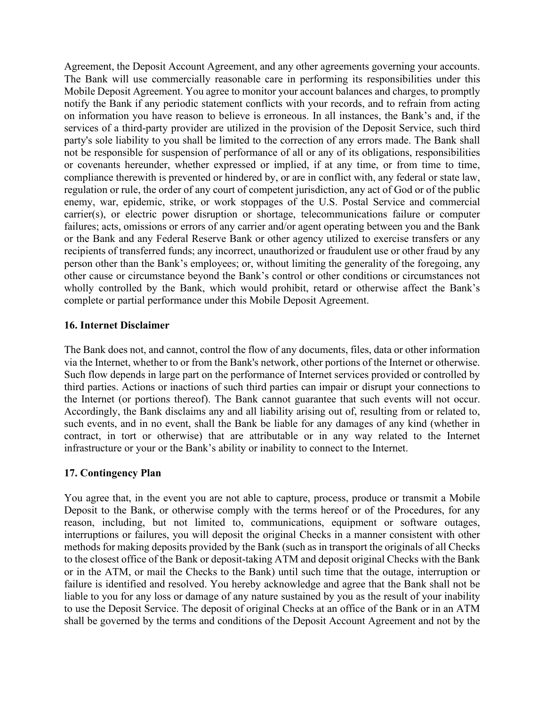Agreement, the Deposit Account Agreement, and any other agreements governing your accounts. The Bank will use commercially reasonable care in performing its responsibilities under this Mobile Deposit Agreement. You agree to monitor your account balances and charges, to promptly notify the Bank if any periodic statement conflicts with your records, and to refrain from acting on information you have reason to believe is erroneous. In all instances, the Bank's and, if the services of a third-party provider are utilized in the provision of the Deposit Service, such third party's sole liability to you shall be limited to the correction of any errors made. The Bank shall not be responsible for suspension of performance of all or any of its obligations, responsibilities or covenants hereunder, whether expressed or implied, if at any time, or from time to time, compliance therewith is prevented or hindered by, or are in conflict with, any federal or state law, regulation or rule, the order of any court of competent jurisdiction, any act of God or of the public enemy, war, epidemic, strike, or work stoppages of the U.S. Postal Service and commercial carrier(s), or electric power disruption or shortage, telecommunications failure or computer failures; acts, omissions or errors of any carrier and/or agent operating between you and the Bank or the Bank and any Federal Reserve Bank or other agency utilized to exercise transfers or any recipients of transferred funds; any incorrect, unauthorized or fraudulent use or other fraud by any person other than the Bank's employees; or, without limiting the generality of the foregoing, any other cause or circumstance beyond the Bank's control or other conditions or circumstances not wholly controlled by the Bank, which would prohibit, retard or otherwise affect the Bank's complete or partial performance under this Mobile Deposit Agreement.

#### **16. Internet Disclaimer**

The Bank does not, and cannot, control the flow of any documents, files, data or other information via the Internet, whether to or from the Bank's network, other portions of the Internet or otherwise. Such flow depends in large part on the performance of Internet services provided or controlled by third parties. Actions or inactions of such third parties can impair or disrupt your connections to the Internet (or portions thereof). The Bank cannot guarantee that such events will not occur. Accordingly, the Bank disclaims any and all liability arising out of, resulting from or related to, such events, and in no event, shall the Bank be liable for any damages of any kind (whether in contract, in tort or otherwise) that are attributable or in any way related to the Internet infrastructure or your or the Bank's ability or inability to connect to the Internet.

#### **17. Contingency Plan**

You agree that, in the event you are not able to capture, process, produce or transmit a Mobile Deposit to the Bank, or otherwise comply with the terms hereof or of the Procedures, for any reason, including, but not limited to, communications, equipment or software outages, interruptions or failures, you will deposit the original Checks in a manner consistent with other methods for making deposits provided by the Bank (such as in transport the originals of all Checks to the closest office of the Bank or deposit-taking ATM and deposit original Checks with the Bank or in the ATM, or mail the Checks to the Bank) until such time that the outage, interruption or failure is identified and resolved. You hereby acknowledge and agree that the Bank shall not be liable to you for any loss or damage of any nature sustained by you as the result of your inability to use the Deposit Service. The deposit of original Checks at an office of the Bank or in an ATM shall be governed by the terms and conditions of the Deposit Account Agreement and not by the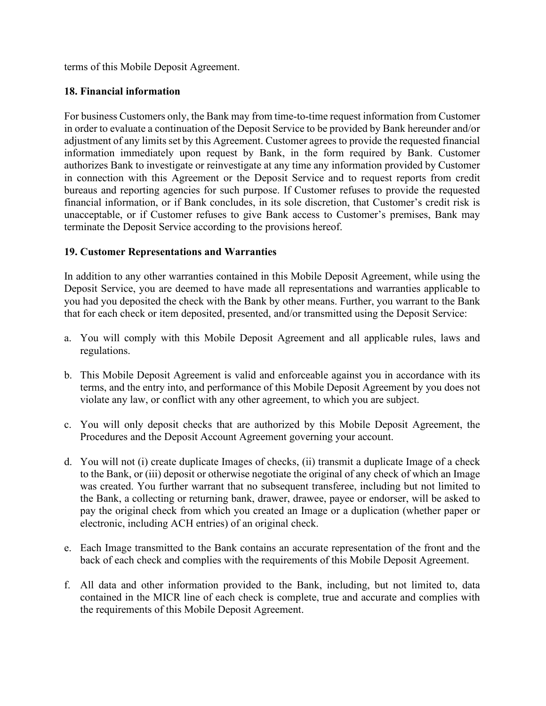terms of this Mobile Deposit Agreement.

## **18. Financial information**

For business Customers only, the Bank may from time-to-time request information from Customer in order to evaluate a continuation of the Deposit Service to be provided by Bank hereunder and/or adjustment of any limits set by this Agreement. Customer agrees to provide the requested financial information immediately upon request by Bank, in the form required by Bank. Customer authorizes Bank to investigate or reinvestigate at any time any information provided by Customer in connection with this Agreement or the Deposit Service and to request reports from credit bureaus and reporting agencies for such purpose. If Customer refuses to provide the requested financial information, or if Bank concludes, in its sole discretion, that Customer's credit risk is unacceptable, or if Customer refuses to give Bank access to Customer's premises, Bank may terminate the Deposit Service according to the provisions hereof.

## **19. Customer Representations and Warranties**

In addition to any other warranties contained in this Mobile Deposit Agreement, while using the Deposit Service, you are deemed to have made all representations and warranties applicable to you had you deposited the check with the Bank by other means. Further, you warrant to the Bank that for each check or item deposited, presented, and/or transmitted using the Deposit Service:

- a. You will comply with this Mobile Deposit Agreement and all applicable rules, laws and regulations.
- b. This Mobile Deposit Agreement is valid and enforceable against you in accordance with its terms, and the entry into, and performance of this Mobile Deposit Agreement by you does not violate any law, or conflict with any other agreement, to which you are subject.
- c. You will only deposit checks that are authorized by this Mobile Deposit Agreement, the Procedures and the Deposit Account Agreement governing your account.
- d. You will not (i) create duplicate Images of checks, (ii) transmit a duplicate Image of a check to the Bank, or (iii) deposit or otherwise negotiate the original of any check of which an Image was created. You further warrant that no subsequent transferee, including but not limited to the Bank, a collecting or returning bank, drawer, drawee, payee or endorser, will be asked to pay the original check from which you created an Image or a duplication (whether paper or electronic, including ACH entries) of an original check.
- e. Each Image transmitted to the Bank contains an accurate representation of the front and the back of each check and complies with the requirements of this Mobile Deposit Agreement.
- f. All data and other information provided to the Bank, including, but not limited to, data contained in the MICR line of each check is complete, true and accurate and complies with the requirements of this Mobile Deposit Agreement.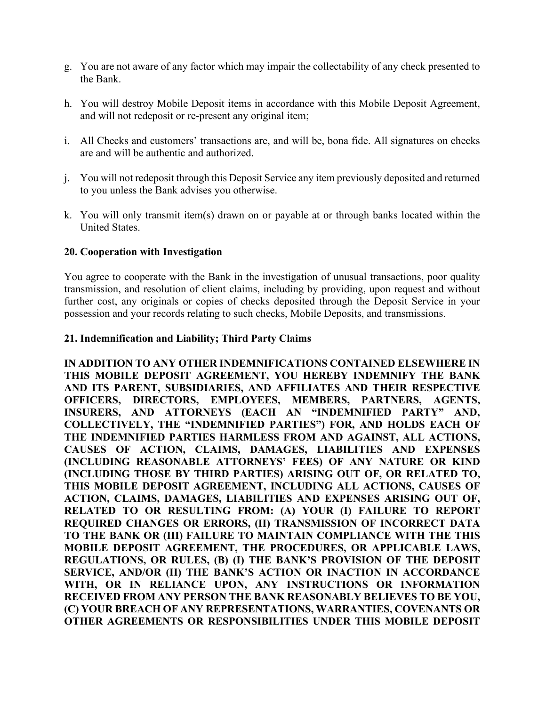- g. You are not aware of any factor which may impair the collectability of any check presented to the Bank.
- h. You will destroy Mobile Deposit items in accordance with this Mobile Deposit Agreement, and will not redeposit or re-present any original item;
- i. All Checks and customers' transactions are, and will be, bona fide. All signatures on checks are and will be authentic and authorized.
- j. You will not redeposit through this Deposit Service any item previously deposited and returned to you unless the Bank advises you otherwise.
- k. You will only transmit item(s) drawn on or payable at or through banks located within the United States.

## **20. Cooperation with Investigation**

You agree to cooperate with the Bank in the investigation of unusual transactions, poor quality transmission, and resolution of client claims, including by providing, upon request and without further cost, any originals or copies of checks deposited through the Deposit Service in your possession and your records relating to such checks, Mobile Deposits, and transmissions.

#### **21. Indemnification and Liability; Third Party Claims**

**IN ADDITION TO ANY OTHER INDEMNIFICATIONS CONTAINED ELSEWHERE IN THIS MOBILE DEPOSIT AGREEMENT, YOU HEREBY INDEMNIFY THE BANK AND ITS PARENT, SUBSIDIARIES, AND AFFILIATES AND THEIR RESPECTIVE OFFICERS, DIRECTORS, EMPLOYEES, MEMBERS, PARTNERS, AGENTS, INSURERS, AND ATTORNEYS (EACH AN "INDEMNIFIED PARTY" AND, COLLECTIVELY, THE "INDEMNIFIED PARTIES") FOR, AND HOLDS EACH OF THE INDEMNIFIED PARTIES HARMLESS FROM AND AGAINST, ALL ACTIONS, CAUSES OF ACTION, CLAIMS, DAMAGES, LIABILITIES AND EXPENSES (INCLUDING REASONABLE ATTORNEYS' FEES) OF ANY NATURE OR KIND (INCLUDING THOSE BY THIRD PARTIES) ARISING OUT OF, OR RELATED TO, THIS MOBILE DEPOSIT AGREEMENT, INCLUDING ALL ACTIONS, CAUSES OF ACTION, CLAIMS, DAMAGES, LIABILITIES AND EXPENSES ARISING OUT OF, RELATED TO OR RESULTING FROM: (A) YOUR (I) FAILURE TO REPORT REQUIRED CHANGES OR ERRORS, (II) TRANSMISSION OF INCORRECT DATA TO THE BANK OR (III) FAILURE TO MAINTAIN COMPLIANCE WITH THE THIS MOBILE DEPOSIT AGREEMENT, THE PROCEDURES, OR APPLICABLE LAWS, REGULATIONS, OR RULES, (B) (I) THE BANK'S PROVISION OF THE DEPOSIT SERVICE, AND/OR (II) THE BANK'S ACTION OR INACTION IN ACCORDANCE WITH, OR IN RELIANCE UPON, ANY INSTRUCTIONS OR INFORMATION RECEIVED FROM ANY PERSON THE BANK REASONABLY BELIEVES TO BE YOU, (C) YOUR BREACH OF ANY REPRESENTATIONS, WARRANTIES, COVENANTS OR OTHER AGREEMENTS OR RESPONSIBILITIES UNDER THIS MOBILE DEPOSIT**